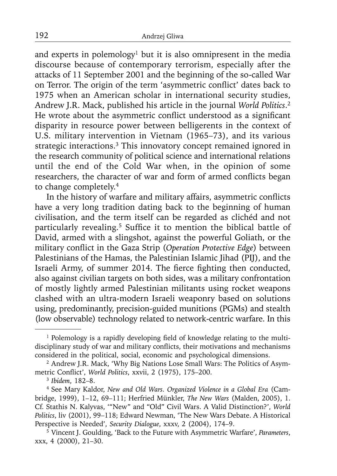and experts in polemology<sup>1</sup> but it is also omnipresent in the media discourse because of contemporary terrorism, especially after the attacks of 11 September 2001 and the beginning of the so-called War on Terror. The origin of the term 'asymmetric conflict' dates back to 1975 when an American scholar in international security studies, Andrew J.R. Mack, published his article in the journal *World Politics*. 2 He wrote about the asymmetric conflict understood as a significant disparity in resource power between belligerents in the context of U.S. military intervention in Vietnam (1965–73), and its various strategic interactions.<sup>3</sup> This innovatory concept remained ignored in the research community of political science and international relations until the end of the Cold War when, in the opinion of some researchers, the character of war and form of armed conflicts began to change completely.4

In the history of warfare and military affairs, asymmetric conflicts have a very long tradition dating back to the beginning of human civilisation, and the term itself can be regarded as clichéd and not particularly revealing.<sup>5</sup> Suffice it to mention the biblical battle of David, armed with a slingshot, against the powerful Goliath, or the military conflict in the Gaza Strip (Operation Protective Edge) between Palestinians of the Hamas, the Palestinian Islamic Jihad (PIJ), and the Israeli Army, of summer 2014. The fierce fighting then conducted, also against civilian targets on both sides, was a military confrontation of mostly lightly armed Palestinian militants using rocket weapons clashed with an ultra-modern Israeli weaponry based on solutions using, predominantly, precision-guided munitions (PGMs) and stealth (low observable) technology related to network-centric warfare. In this

<sup>&</sup>lt;sup>1</sup> Polemology is a rapidly developing field of knowledge relating to the multidisciplinary study of war and military conflicts, their motivations and mechanisms considered in the political, social, economic and psychological dimensions.

<sup>2</sup> Andrew J.R. Mack, 'Why Big Nations Lose Small Wars: The Politics of Asymmetric Conflict', *World Politics*, xxvii, 2 (1975), 175-200.

<sup>3</sup>*Ibidem*, 182–8.

<sup>4</sup> See Mary Kaldor, *New and Old Wars. Organized Violence in a Global Era* (Cambridge, 1999), 1–12, 69–111; Herfried Münkler, *The New Wars* (Malden, 2005), 1. Cf. Stathis N. Kalyvas, '"New" and "Old" Civil Wars. A Valid Distinction?', *World Politics*, liv (2001), 99–118; Edward Newman, 'The New Wars Debate. A Historical Perspective is Needed', *Security Dialogue*, xxxv, 2 (2004), 174–9.

<sup>5</sup> Vincent J. Goulding, 'Back to the Future with Asymmetric Warfare', *Parameters*, xxx, 4 (2000), 21–30.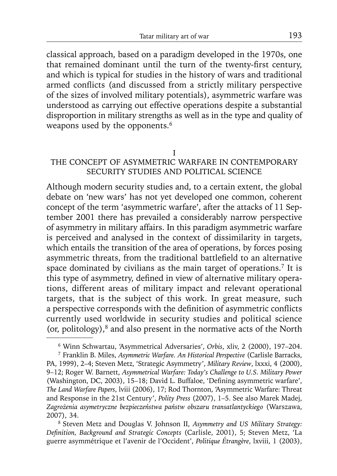classical approach, based on a paradigm developed in the 1970s, one that remained dominant until the turn of the twenty-first century, and which is typical for studies in the history of wars and traditional armed conflicts (and discussed from a strictly military perspective of the sizes of involved military potentials), asymmetric warfare was understood as carrying out effective operations despite a substantial disproportion in military strengths as well as in the type and quality of weapons used by the opponents.<sup>6</sup>

I

# THE CONCEPT OF ASYMMETRIC WARFARE IN CONTEMPORARY SECURITY STUDIES AND POLITICAL SCIENCE

Although modern security studies and, to a certain extent, the global debate on 'new wars' has not yet developed one common, coherent concept of the term 'asymmetric warfare', after the attacks of 11 September 2001 there has prevailed a considerably narrow perspective of asymmetry in military affairs. In this paradigm asymmetric warfare is perceived and analysed in the context of dissimilarity in targets, which entails the transition of the area of operations, by forces posing asymmetric threats, from the traditional battlefield to an alternative space dominated by civilians as the main target of operations.<sup>7</sup> It is this type of asymmetry, defined in view of alternative military operations, different areas of military impact and relevant operational targets, that is the subject of this work. In great measure, such a perspective corresponds with the definition of asymmetric conflicts currently used worldwide in security studies and political science (or, politology),8 and also present in the normative acts of the North

<sup>6</sup> Winn Schwartau, 'Asymmetrical Adversaries', *Orbis*, xliv, 2 (2000), 197–204.

<sup>7</sup> Franklin B. Miles, *Asymmetric Warfare. An Historical Perspective* (Carlisle Barracks, PA, 1999), 2–4; Steven Metz, 'Strategic Asymmetry', *Military Review*, lxxxi, 4 (2000), 9–12; Roger W. Barnett, *Asymmetrical Warfare: Today's Challenge to U.S. Military Power* (Washington, DC, 2003), 15-18; David L. Buffaloe, 'Defining asymmetric warfare', *The Land Warfare Papers*, lviii (2006), 17; Rod Thornton, 'Asymmetric Warfare: Threat and Response in the 21st Century', *Polity Press* (2007), 1–5. See also Marek Madej, *Zagrożenia asymetryczne bezpieczeństwa państw obszaru transatlantyckiego* (Warszawa, 2007), 34.

<sup>8</sup> Steven Metz and Douglas V. Johnson II, *Asymmetry and US Military Strategy: Defi nition, Background and Strategic Concepts* (Carlisle, 2001), 5; Steven Metz, 'La guerre asymmétrique et l'avenir de l'Occident', *Politique Étrangère*, lxviii, 1 (2003),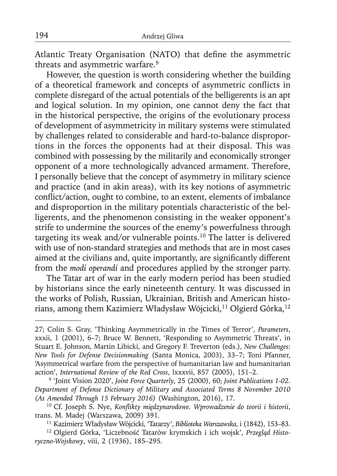Atlantic Treaty Organisation (NATO) that define the asymmetric threats and asymmetric warfare.9

However, the question is worth considering whether the building of a theoretical framework and concepts of asymmetric conflicts in complete disregard of the actual potentials of the belligerents is an apt and logical solution. In my opinion, one cannot deny the fact that in the historical perspective, the origins of the evolutionary process of development of asymmetricity in military systems were stimulated by challenges related to considerable and hard-to-balance disproportions in the forces the opponents had at their disposal. This was combined with possessing by the militarily and economically stronger opponent of a more technologically advanced armament. Therefore, I personally believe that the concept of asymmetry in military science and practice (and in akin areas), with its key notions of asymmetric conflict/action, ought to combine, to an extent, elements of imbalance and disproportion in the military potentials characteristic of the belligerents, and the phenomenon consisting in the weaker opponent's strife to undermine the sources of the enemy's powerfulness through targeting its weak and/or vulnerable points.10 The latter is delivered with use of non-standard strategies and methods that are in most cases aimed at the civilians and, quite importantly, are significantly different from the *modi operandi* and procedures applied by the stronger party.

The Tatar art of war in the early modern period has been studied by historians since the early nineteenth century. It was discussed in the works of Polish, Russian, Ukrainian, British and American historians, among them Kazimierz Władysław Wójcicki,<sup>11</sup> Olgierd Górka,<sup>12</sup>

11 Kazimierz Władysław Wójcicki, 'Tatarzy', *Biblioteka Warszawska*, i (1842), 153–83.

12 Olgierd Górka, 'Liczebność Tatarów krymskich i ich wojsk', *Przegląd Historyczno-Wojskowy*, viii, 2 (1936), 185–295.

<sup>27;</sup> Colin S. Gray, 'Thinking Asymmetrically in the Times of Terror', *Parameters*, xxxii, 1 (2001), 6–7; Bruce W. Bennett, 'Responding to Asymmetric Threats', in Stuart E. Johnson, Martin Libicki, and Gregory F. Treverton (eds.), *New Challenges: New Tools for Defense Decisionmaking* (Santa Monica, 2003), 33–7; Toni Pfanner, 'Asymmetrical warfare from the perspective of humanitarian law and humanitarian action', *International Review of the Red Cross*, lxxxvii, 857 (2005), 151–2.

<sup>9 &#</sup>x27;Joint Vision 2020', *Joint Force Quarterly*, 25 (2000), 60; *Joint Publications 1-02. Department of Defense Dictionary of Military and Associated Terms 8 November 2010 (As Amended Through 15 February 2016)* (Washington, 2016), 17.

<sup>&</sup>lt;sup>10</sup> Cf. Joseph S. Nye, *Konflikty miedzynarodowe. Wprowadzenie do teorii i historii*, trans. M. Madej (Warszawa, 2009) 391.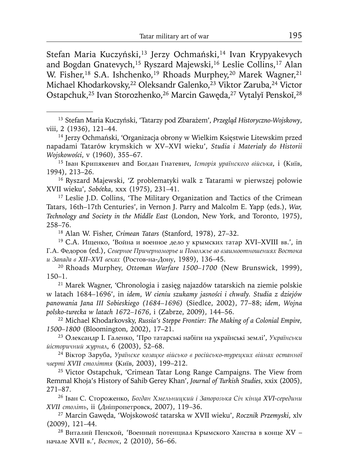Stefan Maria Kuczyński,<sup>13</sup> Jerzy Ochmański,<sup>14</sup> Ivan Krypyakevych and Bogdan Gnatevych,<sup>15</sup> Ryszard Majewski,<sup>16</sup> Leslie Collins,<sup>17</sup> Alan W. Fisher,<sup>18</sup> S.A. Ishchenko,<sup>19</sup> Rhoads Murphey,<sup>20</sup> Marek Wagner,<sup>21</sup> Michael Khodarkovsky,<sup>22</sup> Oleksandr Galenko,<sup>23</sup> Viktor Zaruba,<sup>24</sup> Victor Ostapchuk,<sup>25</sup> Ivan Storozhenko,<sup>26</sup> Marcin Gawęda,<sup>27</sup> Vytalyĭ Penskoĭ,<sup>28</sup>

13 Stefan Maria Kuczyński, 'Tatarzy pod Zbarażem', *Przegląd Historyczno-Wojskowy*, viii, 2 (1936), 121–44.

14 Jerzy Ochmański, 'Organizacja obrony w Wielkim Księstwie Litewskim przed napadami Tatarów krymskich w XV–XVI wieku', *Studia i Materiały do Historii Wojskowości*, v (1960), 355–67.

<sup>15</sup>Іван Крипякевич and Богдан Гнатевич, *Історія ураїнского війська*, i (Київ, 1994), 213–26.

16 Ryszard Majewski, 'Z problematyki walk z Tatarami w pierwszej połowie XVII wieku', *Sobótka*, xxx (1975), 231–41.

<sup>17</sup> Leslie J.D. Collins, 'The Military Organization and Tactics of the Crimean Tatars, 16th–17th Centuries', in Vernon J. Parry and Malcolm E. Yapp (eds.), *War, Technology and Society in the Middle East* (London, New York, and Toronto, 1975), 258–76.

18 Alan W. Fisher, *Crimean Tatars* (Stanford, 1978), 27–32.

<sup>19</sup> С.А. Ищенко, 'Война и военное дело у крымских татар XVI–XVIII вв.', in Г.А. Федоров (ed.), *Северное Причерноморье и Поволжье во взаимоотношениях Востока и Запада в XII–XVI веках* (Ростов-на-Дону, 1989), 136–45.

20 Rhoads Murphey, *Ottoman Warfare 1500–1700* (New Brunswick, 1999), 150–1.

21 Marek Wagner, 'Chronologia i zasięg najazdów tatarskich na ziemie polskie w latach 1684–1696', in *idem*, *W cieniu szukamy jasności i chwały. Studia z dziejów panowania Jana III Sobieskiego (1684–1696)* (Siedlce, 2002), 77–88; *idem*, *Wojna polsko-turecka w latach 1672–1676*, i (Zabrze, 2009), 144–56.

22 Michael Khodarkovsky, *Russia's Steppe Frontier: The Making of a Colonial Empire, 1500–1800* (Bloomington, 2002), 17–21.

23 Oлександр I. Галенко, 'Про татарські набіги на українські землі', *Українськи йісторичний журнал*, 6 (2003), 52–68.

<sup>24</sup>Віктор Заруба, *Ураїнске козацке військо в російсько-турецких війнах останної чверті XVII століття* (Київ, 2003), 199–212.

<sup>25</sup> Victor Ostapchuk, 'Crimean Tatar Long Range Campaigns. The View from Remmal Khoja's History of Sahib Gerey Khan', *Journal of Turkish Studies*, xxix (2005), 271–87.

<sup>26</sup>Іван С. Стороженко, *Богдан Хмельницкий і Запорозька Січ кінца XVI-середини XVII століть*, ii (Дніпропетровск, 2007), 119–36.

27 Marcin Gawęda, 'Wojskowość tatarska w XVII wieku', *Rocznik Przemyski*, xlv (2009), 121–44.

 $28$  Виталий Пенской, 'Военный потенциал Крымского Ханства в конце XV – начале XVII в.', *Восток*, 2 (2010), 56–66.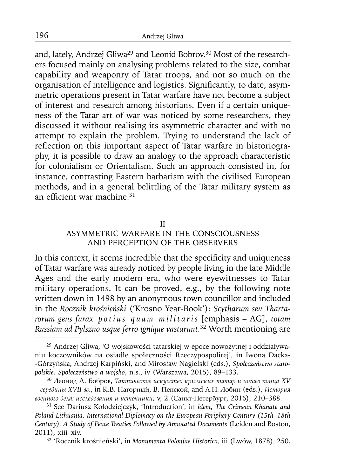and, lately, Andrzej Gliwa29 and Leonid Bobrov.30 Most of the researchers focused mainly on analysing problems related to the size, combat capability and weaponry of Tatar troops, and not so much on the organisation of intelligence and logistics. Significantly, to date, asymmetric operations present in Tatar warfare have not become a subject of interest and research among historians. Even if a certain uniqueness of the Tatar art of war was noticed by some researchers, they discussed it without realising its asymmetric character and with no attempt to explain the problem. Trying to understand the lack of reflection on this important aspect of Tatar warfare in historiography, it is possible to draw an analogy to the approach characteristic for colonialism or Orientalism. Such an approach consisted in, for instance, contrasting Eastern barbarism with the civilised European methods, and in a general belittling of the Tatar military system as an efficient war machine. $31$ 

### II

# ASYMMETRIC WARFARE IN THE CONSCIOUSNESS AND PERCEPTION OF THE OBSERVERS

In this context, it seems incredible that the specificity and uniqueness of Tatar warfare was already noticed by people living in the late Middle Ages and the early modern era, who were eyewitnesses to Tatar military operations. It can be proved, e.g., by the following note written down in 1498 by an anonymous town councillor and included in the *Rocznik krośnieński* ('Krosno Year-Book'): *Scytharum seu Thartarorum gens furax p o t i u s q u a m m i l i t a r i s* [emphasis – AG], *totam Russiam ad Pylszno usque ferro ignique vastarunt.*32 Worth mentioning are

32 'Rocznik krośnieński', in *Monumenta Poloniae Historica*, iii (Lwów, 1878), 250.

<sup>29</sup> Andrzej Gliwa, 'O wojskowości tatarskiej w epoce nowożytnej i oddziaływaniu koczowników na osiadłe społeczności Rzeczypospolitej', in Iwona Dacka- -Górzyńska, Andrzej Karpiński, and Mirosław Nagielski (eds.), *Społeczeństwo staropolskie. Społeczeństwo a wojsko*, n.s., iv (Warszawa, 2015), 89–133.

<sup>30</sup>Леонид A. Бобров, *Taктическое искусство крымских татар и ногаев конца XV – cepeдины XVII вв*., in K.B. Нагорный, B. Пенской, and A.Н. Лобин (eds.), *История военного дела: исследования и источники*, v, 2 (Caнкт-Петербург, 2016), 210–388.

<sup>31</sup> See Dariusz Kołodziejczyk, 'Introduction', in *idem*, *The Crimean Khanate and Poland-Lithuania. International Diplomacy on the European Periphery Century (15th–18th Century). A Study of Peace Treaties Followed by Annotated Documents* (Leiden and Boston, 2011), xiii–xiv.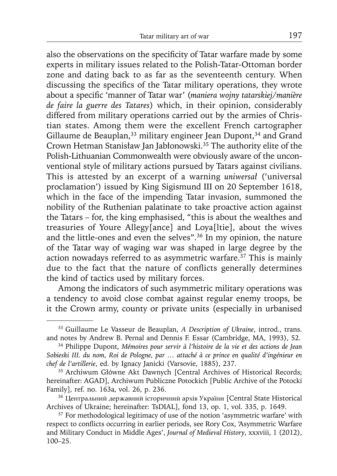also the observations on the specificity of Tatar warfare made by some experts in military issues related to the Polish-Tatar-Ottoman border zone and dating back to as far as the seventeenth century. When discussing the specifics of the Tatar military operations, they wrote about a specific 'manner of Tatar war' (maniera wojny tatarskiej/manière *de faire la guerre des Tatares*) which, in their opinion, considerably differed from military operations carried out by the armies of Christian states. Among them were the excellent French cartographer Gillaume de Beauplan,<sup>33</sup> military engineer Jean Dupont,<sup>34</sup> and Grand Crown Hetman Stanisław Jan Jabłonowski.35 The authority elite of the Polish-Lithuanian Commonwealth were obviously aware of the unconventional style of military actions pursued by Tatars against civilians. This is attested by an excerpt of a warning *uniwersał* ('universal proclamation') issued by King Sigismund III on 20 September 1618, which in the face of the impending Tatar invasion, summoned the nobility of the Ruthenian palatinate to take proactive action against the Tatars – for, the king emphasised, "this is about the wealthes and treasuries of Youre Allegy[ance] and Loya[ltie], about the wives and the little-ones and even the selves".36 In my opinion, the nature of the Tatar way of waging war was shaped in large degree by the action nowadays referred to as asymmetric warfare.<sup>37</sup> This is mainly due to the fact that the nature of conflicts generally determines the kind of tactics used by military forces.

Among the indicators of such asymmetric military operations was a tendency to avoid close combat against regular enemy troops, be it the Crown army, county or private units (especially in urbanised

<sup>33</sup> Guillaume Le Vasseur de Beauplan, *A Description of Ukraine*, introd., trans. and notes by Andrew B. Pernal and Dennis F. Essar (Cambridge, MA, 1993), 52.

<sup>34</sup> Philippe Dupont, *Mémoires pour servir à l'histoire de la vie et des actions de Jean Sobieski III. du nom, Roi de Pologne, par … attaché à ce prince en qualité d'ingénieur en chef de l'artillerie*, ed. by Ignacy Janicki (Varsovie, 1885), 237.

<sup>&</sup>lt;sup>35</sup> Archiwum Główne Akt Dawnych [Central Archives of Historical Records; hereinafter: AGAD], Archiwum Publiczne Potockich [Public Archive of the Potocki Family], ref. no. 163a, vol. 26, p. 236.

<sup>&</sup>lt;sup>36</sup> Центральний державний історичний архів України [Central State Historical Archives of Ukraine; hereinafter: TsDIAL], fond 13, op. 1, vol. 335, p. 1649.

<sup>&</sup>lt;sup>37</sup> For methodological legitimacy of use of the notion 'asymmetric warfare' with respect to conflicts occurring in earlier periods, see Rory Cox, 'Asymmetric Warfare and Military Conduct in Middle Ages', *Journal of Medieval History*, xxxviii, 1 (2012), 100–25.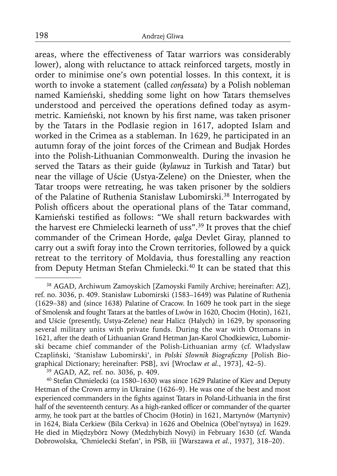areas, where the effectiveness of Tatar warriors was considerably lower), along with reluctance to attack reinforced targets, mostly in order to minimise one's own potential losses. In this context, it is worth to invoke a statement (called *confessata*) by a Polish nobleman named Kamieński, shedding some light on how Tatars themselves understood and perceived the operations defined today as asymmetric. Kamieński, not known by his first name, was taken prisoner by the Tatars in the Podlasie region in 1617, adopted Islam and worked in the Crimea as a stableman. In 1629, he participated in an autumn foray of the joint forces of the Crimean and Budjak Hordes into the Polish-Lithuanian Commonwealth. During the invasion he served the Tatars as their guide (*kylawuz* in Turkish and Tatar) but near the village of Uście (Ustya-Zelene) on the Dniester, when the Tatar troops were retreating, he was taken prisoner by the soldiers of the Palatine of Ruthenia Stanisław Lubomirski.38 Interrogated by Polish officers about the operational plans of the Tatar command, Kamieński testified as follows: "We shall return backwardes with the harvest ere Chmielecki learneth of uss".<sup>39</sup> It proves that the chief commander of the Crimean Horde, *qalga* Devlet Giray, planned to carry out a swift foray into the Crown territories, followed by a quick retreat to the territory of Moldavia, thus forestalling any reaction from Deputy Hetman Stefan Chmielecki.<sup>40</sup> It can be stated that this

<sup>39</sup> AGAD, AZ, ref. no. 3036, p. 409.

40 Stefan Chmielecki (ca 1580–1630) was since 1629 Palatine of Kiev and Deputy Hetman of the Crown army in Ukraine (1626–9). He was one of the best and most experienced commanders in the fights against Tatars in Poland-Lithuania in the first half of the seventeenth century. As a high-ranked officer or commander of the quarter army, he took part at the battles of Chocim (Hotin) in 1621, Martynów (Martyniv) in 1624, Biała Cerkiew (Bila Cerkva) in 1626 and Obelnica (Obel'nytsya) in 1629. He died in Międzybórz Nowy (Medzhybizh Novyi) in February 1630 (cf. Wanda Dobrowolska, 'Chmielecki Stefan', in PSB, iii [Warszawa *et al.*, 1937], 318–20).

<sup>38</sup> AGAD, Archiwum Zamoyskich [Zamoyski Family Archive; hereinafter: AZ], ref. no. 3036, p. 409. Stanisław Lubomirski (1583–1649) was Palatine of Ruthenia (1629–38) and (since 1638) Palatine of Cracow. In 1609 he took part in the siege of Smolensk and fought Tatars at the battles of Lwów in 1620, Chocim (Hotin), 1621, and Uście (presently, Ustya-Zelene) near Halicz (Halych) in 1629, by sponsoring several military units with private funds. During the war with Ottomans in 1621, after the death of Lithuanian Grand Hetman Jan-Karol Chodkiewicz, Lubomirski became chief commander of the Polish-Lithuanian army (cf. Władysław Czapliński, 'Stanisław Lubomirski', in Polski Słownik Biograficzny [Polish Biographical Dictionary; hereinafter: PSB], xvi [Wrocław *et al.*, 1973], 42–5).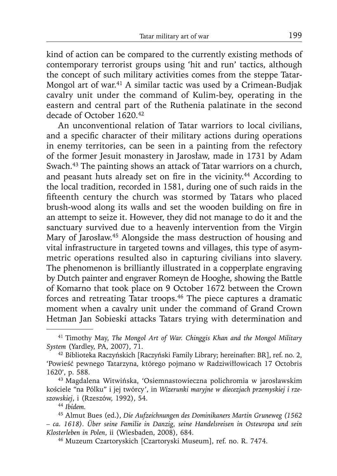kind of action can be compared to the currently existing methods of contemporary terrorist groups using 'hit and run' tactics, although the concept of such military activities comes from the steppe Tatar-Mongol art of war.41 A similar tactic was used by a Crimean-Budjak cavalry unit under the command of Kulim-bey, operating in the eastern and central part of the Ruthenia palatinate in the second decade of October 1620.42

An unconventional relation of Tatar warriors to local civilians, and a specific character of their military actions during operations in enemy territories, can be seen in a painting from the refectory of the former Jesuit monastery in Jarosław, made in 1731 by Adam Swach.43 The painting shows an attack of Tatar warriors on a church, and peasant huts already set on fire in the vicinity.<sup>44</sup> According to the local tradition, recorded in 1581, during one of such raids in the fifteenth century the church was stormed by Tatars who placed brush-wood along its walls and set the wooden building on fire in an attempt to seize it. However, they did not manage to do it and the sanctuary survived due to a heavenly intervention from the Virgin Mary of Jarosław.45 Alongside the mass destruction of housing and vital infrastructure in targeted towns and villages, this type of asymmetric operations resulted also in capturing civilians into slavery. The phenomenon is brilliantly illustrated in a copperplate engraving by Dutch painter and engraver Romeyn de Hooghe, showing the Battle of Komarno that took place on 9 October 1672 between the Crown forces and retreating Tatar troops.46 The piece captures a dramatic moment when a cavalry unit under the command of Grand Crown Hetman Jan Sobieski attacks Tatars trying with determination and

<sup>41</sup> Timothy May, *The Mongol Art of War. Chinggis Khan and the Mongol Military System* (Yardley, PA, 2007), 71.

<sup>42</sup> Biblioteka Raczyńskich [Raczyński Family Library; hereinafter: BR], ref. no. 2, 'Powieść pewnego Tatarzyna, którego pojmano w Radziwiłłowicach 17 Octobris 1620', p. 588.

<sup>43</sup> Magdalena Witwińska, 'Osiemnastowieczna polichromia w jarosławskim kościele "na Pólku" i jej twórcy', in *Wizerunki maryjne w diecezjach przemyskiej i rzeszowskiej*, i (Rzeszów, 1992), 54.

<sup>44</sup>*Ibidem.*

<sup>45</sup> Almut Bues (ed.), *Die Aufzeichnungen des Dominikaners Martin Gruneweg (1562 – ca. 1618). Über seine Familie in Danzig, seine Handelsreisen in Osteuropa und sein Klosterleben in Polen*, ii (Wiesbaden, 2008), 684.

<sup>46</sup> Muzeum Czartoryskich [Czartoryski Museum], ref. no. R. 7474.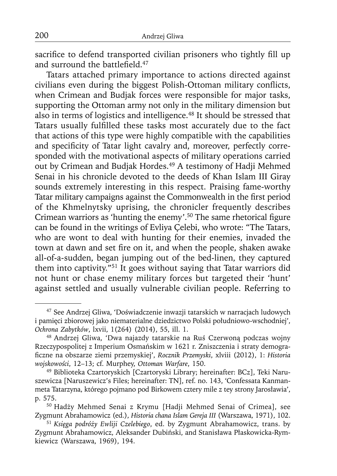sacrifice to defend transported civilian prisoners who tightly fill up and surround the battlefield.<sup>47</sup>

Tatars attached primary importance to actions directed against civilians even during the biggest Polish-Ottoman military conflicts, when Crimean and Budjak forces were responsible for major tasks, supporting the Ottoman army not only in the military dimension but also in terms of logistics and intelligence.<sup>48</sup> It should be stressed that Tatars usually fulfilled these tasks most accurately due to the fact that actions of this type were highly compatible with the capabilities and specificity of Tatar light cavalry and, moreover, perfectly corresponded with the motivational aspects of military operations carried out by Crimean and Budjak Hordes.<sup>49</sup> A testimony of Hadji Mehmed Senai in his chronicle devoted to the deeds of Khan Islam III Giray sounds extremely interesting in this respect. Praising fame-worthy Tatar military campaigns against the Commonwealth in the first period of the Khmelnytsky uprising, the chronicler frequently describes Crimean warriors as 'hunting the enemy'.<sup>50</sup> The same rhetorical figure can be found in the writings of Evliya Çelebi, who wrote: "The Tatars, who are wont to deal with hunting for their enemies, invaded the town at dawn and set fire on it, and when the people, shaken awake all-of-a-sudden, began jumping out of the bed-linen, they captured them into captivity."51 It goes without saying that Tatar warriors did not hunt or chase enemy military forces but targeted their 'hunt' against settled and usually vulnerable civilian people. Referring to

<sup>47</sup> See Andrzej Gliwa, 'Doświadczenie inwazji tatarskich w narracjach ludowych i pamięci zbiorowej jako niematerialne dziedzictwo Polski południowo-wschodniej', *Ochrona Zabytków*, lxvii, 1(264) (2014), 55, ill. 1.

<sup>48</sup> Andrzej Gliwa, 'Dwa najazdy tatarskie na Ruś Czerwoną podczas wojny Rzeczypospolitej z Imperium Osmańskim w 1621 r. Zniszczenia i straty demografi czne na obszarze ziemi przemyskiej', *Rocznik Przemyski*, xlviii (2012), 1: *Historia wojskowości*, 12–13; cf. Murphey, *Ottoman Warfare*, 150.

<sup>49</sup> Biblioteka Czartoryskich [Czartoryski Library; hereinafter: BCz], Teki Naruszewicza [Naruszewicz's Files; hereinafter: TN], ref. no. 143, 'Confessata Kanmanmeta Tatarzyna, którego pojmano pod Birkowem cztery mile z tey strony Jarosławia', p. 575.

<sup>50</sup> Hadży Mehmed Senai z Krymu [Hadji Mehmed Senai of Crimea], see Zygmunt Abrahamowicz (ed.), *Historia chana Islam Gereja III* (Warszawa, 1971), 102.

<sup>51</sup>*Księga podróży Ewliji Czelebiego*, ed. by Zygmunt Abrahamowicz, trans. by Zygmunt Abrahamowicz, Aleksander Dubiński, and Stanisława Płaskowicka-Rymkiewicz (Warszawa, 1969), 194.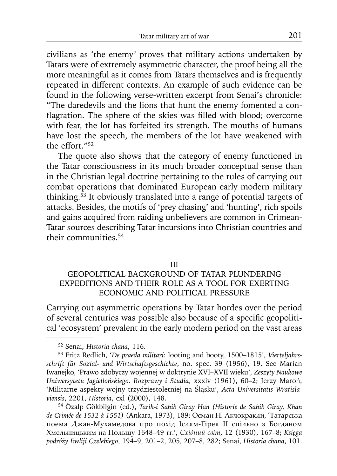civilians as 'the enemy' proves that military actions undertaken by Tatars were of extremely asymmetric character, the proof being all the more meaningful as it comes from Tatars themselves and is frequently repeated in different contexts. An example of such evidence can be found in the following verse-written excerpt from Senai's chronicle: "The daredevils and the lions that hunt the enemy fomented a conflagration. The sphere of the skies was filled with blood; overcome with fear, the lot has forfeited its strength. The mouths of humans have lost the speech, the members of the lot have weakened with the effort."52

The quote also shows that the category of enemy functioned in the Tatar consciousness in its much broader conceptual sense than in the Christian legal doctrine pertaining to the rules of carrying out combat operations that dominated European early modern military thinking.53 It obviously translated into a range of potential targets of attacks. Besides, the motifs of 'prey chasing' and 'hunting', rich spoils and gains acquired from raiding unbelievers are common in Crimean-Tatar sources describing Tatar incursions into Christian countries and their communities.54

### III

# GEOPOLITICAL BACKGROUND OF TATAR PLUNDERING EXPEDITIONS AND THEIR ROLE AS A TOOL FOR EXERTING ECONOMIC AND POLITICAL PRESSURE

Carrying out asymmetric operations by Tatar hordes over the period of several centuries was possible also because of a specific geopolitical 'ecosystem' prevalent in the early modern period on the vast areas

54 Özalp Gökbilgin (ed.), *Tarih-i Sahib Giray Han (Historie de Sahib Giray, Khan de Crimée de 1532 à 1551)* (Ankara, 1973), 189; Осман Н. Акчокракли, 'Татарська поема Джан-Мухамедова про похід Іслям-Гірея ІІ спільно з Богданом Хмельницьким на Польшу 1648–49 гг.', *Східний світ*, 12 (1930), 167–8; *Księga podróży Ewliji Czelebiego*, 194–9, 201–2, 205, 207–8, 282; Senai, *Historia chana*, 101.

<sup>52</sup> Senai, *Historia chana*, 116.

<sup>53</sup> Fritz Redlich, '*De praeda militari*: looting and booty, 1500–1815', *Vierteljahrsschrift für Sozial- und Wirtschaftsgeschichte*, no. spec. 39 (1956), 19. See Marian Iwanejko, 'Prawo zdobyczy wojennej w doktrynie XVI–XVII wieku', *Zeszyty Naukowe Uniwersytetu Jagiellońskiego. Rozprawy i Studia*, xxxiv (1961), 60–2; Jerzy Maroń, 'Militarne aspekty wojny trzydziestoletniej na Śląsku', *Acta Universitatis Wratislaviensis*, 2201, *Historia*, cxl (2000), 148.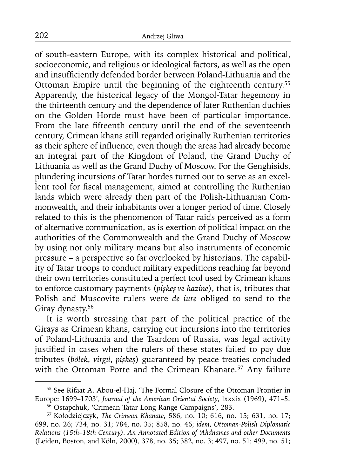of south-eastern Europe, with its complex historical and political, socioeconomic, and religious or ideological factors, as well as the open and insufficiently defended border between Poland-Lithuania and the Ottoman Empire until the beginning of the eighteenth century.55 Apparently, the historical legacy of the Mongol-Tatar hegemony in the thirteenth century and the dependence of later Ruthenian duchies on the Golden Horde must have been of particular importance. From the late fifteenth century until the end of the seventeenth century, Crimean khans still regarded originally Ruthenian territories as their sphere of influence, even though the areas had already become an integral part of the Kingdom of Poland, the Grand Duchy of Lithuania as well as the Grand Duchy of Moscow. For the Genghisids, plundering incursions of Tatar hordes turned out to serve as an excellent tool for fiscal management, aimed at controlling the Ruthenian lands which were already then part of the Polish-Lithuanian Commonwealth, and their inhabitants over a longer period of time. Closely related to this is the phenomenon of Tatar raids perceived as a form of alternative communication, as is exertion of political impact on the authorities of the Commonwealth and the Grand Duchy of Moscow by using not only military means but also instruments of economic pressure – a perspective so far overlooked by historians. The capability of Tatar troops to conduct military expeditions reaching far beyond their own territories constituted a perfect tool used by Crimean khans to enforce customary payments (*pişkeş ve hazine*), that is, tributes that Polish and Muscovite rulers were *de iure* obliged to send to the Giray dynasty.<sup>56</sup>

It is worth stressing that part of the political practice of the Girays as Crimean khans, carrying out incursions into the territories of Poland-Lithuania and the Tsardom of Russia, was legal activity justified in cases when the rulers of these states failed to pay due tributes (*bölek*, *virgü*, *pişkeş*) guaranteed by peace treaties concluded with the Ottoman Porte and the Crimean Khanate.<sup>57</sup> Any failure

<sup>55</sup> See Rifaat A. Abou-el-Haj, 'The Formal Closure of the Ottoman Frontier in Europe: 1699–1703', *Journal of the American Oriental Society*, lxxxix (1969), 471–5.

<sup>56</sup> Ostapchuk, 'Crimean Tatar Long Range Campaigns', 283.

<sup>57</sup> Kołodziejczyk, *The Crimean Khanate*, 586, no. 10; 616, no. 15; 631, no. 17; 699, no. 26; 734, no. 31; 784, no. 35; 858, no. 46; *idem*, *Ottoman-Polish Diplomatic Relations (15th–18th Century). An Annotated Edition of 'Ahdnames and other Documents* (Leiden, Boston, and Köln, 2000), 378, no. 35; 382, no. 3; 497, no. 51; 499, no. 51;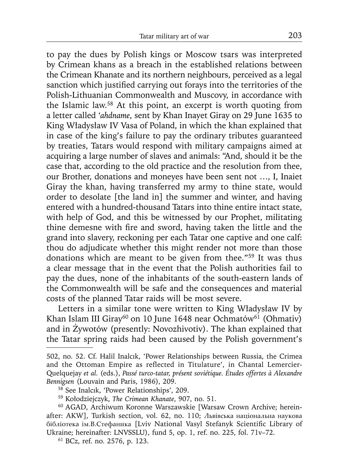to pay the dues by Polish kings or Moscow tsars was interpreted by Crimean khans as a breach in the established relations between the Crimean Khanate and its northern neighbours, perceived as a legal sanction which justified carrying out forays into the territories of the Polish-Lithuanian Commonwealth and Muscovy, in accordance with the Islamic law.58 At this point, an excerpt is worth quoting from a letter called *'ahdname*, sent by Khan Inayet Giray on 29 June 1635 to King Władysław IV Vasa of Poland, in which the khan explained that in case of the king's failure to pay the ordinary tributes guaranteed by treaties, Tatars would respond with military campaigns aimed at acquiring a large number of slaves and animals: "And, should it be the case that, according to the old practice and the resolution from thee, our Brother, donations and moneyes have been sent not …, I, Inaiet Giray the khan, having transferred my army to thine state, would order to desolate [the land in] the summer and winter, and having entered with a hundred-thousand Tatars into thine entire intact state, with help of God, and this be witnessed by our Prophet, militating thine demesne with fire and sword, having taken the little and the grand into slavery, reckoning per each Tatar one captive and one calf: thou do adjudicate whether this might render not more than those donations which are meant to be given from thee."59 It was thus a clear message that in the event that the Polish authorities fail to pay the dues, none of the inhabitants of the south-eastern lands of the Commonwealth will be safe and the consequences and material costs of the planned Tatar raids will be most severe.

Letters in a similar tone were written to King Władysław IV by Khan Islam III Giray<sup>60</sup> on 10 June 1648 near Ochmatów<sup>61</sup> (Ohmativ) and in Żywotów (presently: Novozhivotiv). The khan explained that the Tatar spring raids had been caused by the Polish government's

<sup>502,</sup> no. 52. Cf. Halil Inalcık, 'Power Relationships between Russia, the Crimea and the Ottoman Empire as reflected in Titulature', in Chantal Lemercier-Quelquejay *et al.* (eds.), *Passé turco-tatar, présent soviétique. Études offertes à Alexandre Bennigsen* (Louvain and Paris, 1986), 209.

<sup>58</sup> See Inalcık, 'Power Relationships', 209.

<sup>59</sup> Kołodziejczyk, *The Crimean Khanate*, 907, no. 51.

<sup>60</sup> AGAD, Archiwum Koronne Warszawskie [Warsaw Crown Archive; hereinafter: AKW], Turkish section, vol. 62, no. 110; Львівська національна наукова бібліотека ім.В.Стефаника [Lviv National Vasyl Stefanyk Scientific Library of Ukraine; hereinafter: LNVSSLU), fund 5, op. 1, ref. no. 225, fol. 71v–72.

<sup>61</sup> BCz, ref. no. 2576, p. 123.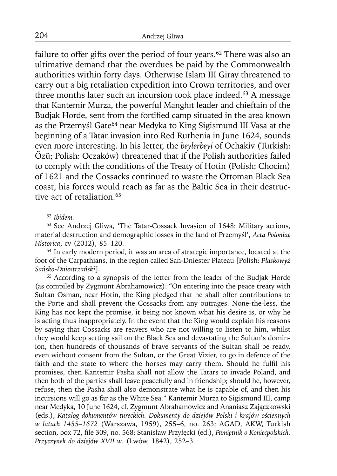failure to offer gifts over the period of four years.<sup>62</sup> There was also an ultimative demand that the overdues be paid by the Commonwealth authorities within forty days. Otherwise Islam III Giray threatened to carry out a big retaliation expedition into Crown territories, and over three months later such an incursion took place indeed.<sup>63</sup> A message that Kantemir Murza, the powerful Manghıt leader and chieftain of the Budjak Horde, sent from the fortified camp situated in the area known as the Przemyśl Gate<sup>64</sup> near Medyka to King Sigismund III Vasa at the beginning of a Tatar invasion into Red Ruthenia in June 1624, sounds even more interesting. In his letter, the *beylerbeyi* of Ochakiv (Turkish: Özü; Polish: Oczaków) threatened that if the Polish authorities failed to comply with the conditions of the Treaty of Hotin (Polish: Chocim) of 1621 and the Cossacks continued to waste the Ottoman Black Sea coast, his forces would reach as far as the Baltic Sea in their destructive act of retaliation.<sup>65</sup>

<sup>62</sup>*Ibidem.*

63 See Andrzej Gliwa, 'The Tatar-Cossack Invasion of 1648: Military actions, material destruction and demographic losses in the land of Przemyśl', *Acta Poloniae Historica*, cv (2012), 85–120.

<sup>64</sup> In early modern period, it was an area of strategic importance, located at the foot of the Carpathians, in the region called San-Dniester Plateau [Polish: *Płaskowyż Sańsko-Dniestrzański*].

<sup>65</sup> According to a synopsis of the letter from the leader of the Budjak Horde (as compiled by Zygmunt Abrahamowicz): "On entering into the peace treaty with Sultan Osman, near Hotin, the King pledged that he shall offer contributions to the Porte and shall prevent the Cossacks from any outrages. None-the-less, the King has not kept the promise, it being not known what his desire is, or why he is acting thus inappropriately. In the event that the King would explain his reasons by saying that Cossacks are reavers who are not willing to listen to him, whilst they would keep setting sail on the Black Sea and devastating the Sultan's dominion, then hundreds of thousands of brave servants of the Sultan shall be ready, even without consent from the Sultan, or the Great Vizier, to go in defence of the faith and the state to where the horses may carry them. Should he fulfil his promises, then Kantemir Pasha shall not allow the Tatars to invade Poland, and then both of the parties shall leave peacefully and in friendship; should he, however, refuse, then the Pasha shall also demonstrate what he is capable of, and then his incursions will go as far as the White Sea." Kantemir Murza to Sigismund III, camp near Medyka, 10 June 1624, cf. Zygmunt Abrahamowicz and Ananiasz Zajączkowski (eds.), *Katalog dokumentów tureckich. Dokumenty do dziejów Polski i krajów ościennych w latach 1455–1672* (Warszawa, 1959), 255–6, no. 263; AGAD, AKW, Turkish section, box 72, file 309, no. 568; Stanisław Przyłęcki (ed.), Pamiętnik o Koniecpolskich. *Przyczynek do dziejów XVII w*. (Lwów, 1842), 252–3.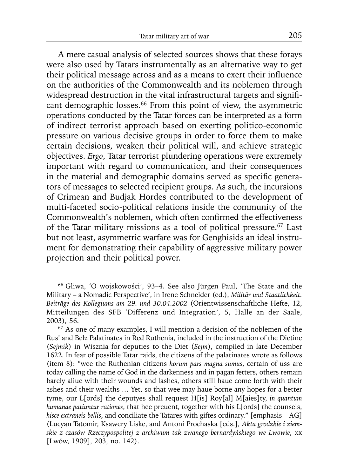A mere casual analysis of selected sources shows that these forays were also used by Tatars instrumentally as an alternative way to get their political message across and as a means to exert their influence on the authorities of the Commonwealth and its noblemen through widespread destruction in the vital infrastructural targets and significant demographic losses.<sup>66</sup> From this point of view, the asymmetric operations conducted by the Tatar forces can be interpreted as a form of indirect terrorist approach based on exerting politico-economic pressure on various decisive groups in order to force them to make certain decisions, weaken their political will, and achieve strategic objectives. *Ergo*, Tatar terrorist plundering operations were extremely important with regard to communication, and their consequences in the material and demographic domains served as specific generators of messages to selected recipient groups. As such, the incursions of Crimean and Budjak Hordes contributed to the development of multi-faceted socio-political relations inside the community of the Commonwealth's noblemen, which often confirmed the effectiveness of the Tatar military missions as a tool of political pressure.<sup>67</sup> Last but not least, asymmetric warfare was for Genghisids an ideal instrument for demonstrating their capability of aggressive military power projection and their political power.

<sup>66</sup> Gliwa, 'O wojskowości', 93–4. See also Jürgen Paul, 'The State and the Military – a Nomadic Perspective', in Irene Schneider (ed.), *Militär und Staatlichkeit. Beiträge des Kollegiums am 29. und 30.04.2002* (Orientwissenschaftliche Hefte, 12, Mitteilungen des SFB 'Differenz und Integration', 5, Halle an der Saale, 2003), 56.

<sup>67</sup> As one of many examples, I will mention a decision of the noblemen of the Rus' and Belz Palatinates in Red Ruthenia, included in the instruction of the Dietine (*Sejmik*) in Wisznia for deputies to the Diet (*Sejm*), compiled in late December 1622. In fear of possible Tatar raids, the citizens of the palatinates wrote as follows (item 8): "wee the Ruthenian citizens *horum pars magna sumus*, certain of uss are today calling the name of God in the darkenness and in pagan fetters, others remain barely aliue with their wounds and lashes, others still haue come forth with their ashes and their wealths … Yet, so that wee may haue borne any hopes for a better tyme, our L[ords] the deputyes shall request H[is] Roy[al] M[aies]ty, *in quantum humanae patiuntur rationes*, that hee preuent, together with his L[ords] the counsels, *hisce extraneis bellis*, and conciliate the Tatares with giftes ordinary." [emphasis – AG] (Lucyan Tatomir, Ksawery Liske, and Antoni Prochaska [eds.], *Akta grodzkie i ziemskie z czasów Rzeczypospolitej z archiwum tak zwanego bernardyńskiego we Lwowie*, xx [Lwów, 1909], 203, no. 142).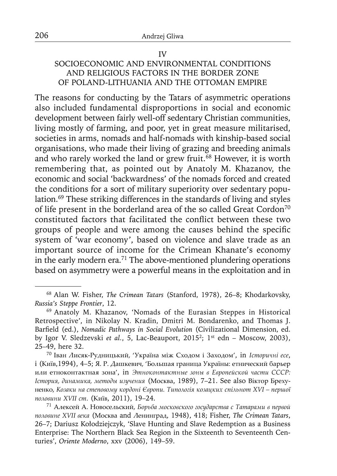# IV SOCIOECONOMIC AND ENVIRONMENTAL CONDITIONS AND RELIGIOUS FACTORS IN THE BORDER ZONE OF POLAND-LITHUANIA AND THE OTTOMAN EMPIRE

The reasons for conducting by the Tatars of asymmetric operations also included fundamental disproportions in social and economic development between fairly well-off sedentary Christian communities, living mostly of farming, and poor, yet in great measure militarised, societies in arms, nomads and half-nomads with kinship-based social organisations, who made their living of grazing and breeding animals and who rarely worked the land or grew fruit.<sup>68</sup> However, it is worth remembering that, as pointed out by Anatoly M. Khazanov, the economic and social 'backwardness' of the nomads forced and created the conditions for a sort of military superiority over sedentary population.69 These striking differences in the standards of living and styles of life present in the borderland area of the so called Great Cordon<sup>70</sup> constituted factors that facilitated the conflict between these two groups of people and were among the causes behind the specific system of 'war economy', based on violence and slave trade as an important source of income for the Crimean Khanate's economy in the early modern era.<sup>71</sup> The above-mentioned plundering operations based on asymmetry were a powerful means in the exploitation and in

<sup>68</sup> Alan W. Fisher, *The Crimean Tatars* (Stanford, 1978), 26–8; Khodarkovsky, *Russia's Steppe Frontier*, 12.

<sup>69</sup> Anatoly M. Khazanov, 'Nomads of the Eurasian Steppes in Historical Retrospective', in Nikolay N. Kradin, Dmitri M. Bondarenko, and Thomas J. Barfield (ed.), *Nomadic Pathways in Social Evolution* (Civilizational Dimension, ed. by Igor V. Sledzevski et al., 5, Lac-Beauport, 2015<sup>2</sup>; 1<sup>st</sup> edn - Moscow, 2003), 25–49, here 32.

<sup>70</sup>Іван Лисяк-Рудницький, 'Україна між Сходом і Заходом', in *Іcтopичні есе*, i (Київ,1994), 4–5; Я. P. Дашкевич, 'Большая граница Україны: етнический барьер или етноконтактная зона', in *Этноконтактные зоны в Европейской части CCCP: Іcтopия, динамика, методы изучения* (Москва, 1989), 7–21. See also Віктор Брехуненко, *Козаки на степовому кордоні Європи. Типологія козацких спільнот XVI – першої половини XVII cт*. (Київ, 2011), 19–24.

<sup>71</sup>Алексей А. Новосельский, *Борьба московского государства с Татарами в первой половине XVII века* (Москва and Ленинград, 1948), 418; Fisher, *The Crimean Tatars*, 26–7; Dariusz Kołodziejczyk, 'Slave Hunting and Slave Redemption as a Business Enterprise: The Northern Black Sea Region in the Sixteenth to Seventeenth Centuries', *Oriente Moderno*, xxv (2006), 149–59.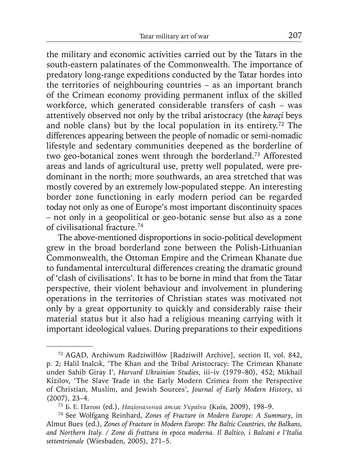the military and economic activities carried out by the Tatars in the south-eastern palatinates of the Commonwealth. The importance of predatory long-range expeditions conducted by the Tatar hordes into the territories of neighbouring countries – as an important branch of the Crimean economy providing permanent influx of the skilled workforce, which generated considerable transfers of cash – was attentively observed not only by the tribal aristocracy (the *karaçi* beys and noble clans) but by the local population in its entirety.72 The differences appearing between the people of nomadic or semi-nomadic lifestyle and sedentary communities deepened as the borderline of two geo-botanical zones went through the borderland.73 Afforested areas and lands of agricultural use, pretty well populated, were predominant in the north; more southwards, an area stretched that was mostly covered by an extremely low-populated steppe. An interesting border zone functioning in early modern period can be regarded today not only as one of Europe's most important discontinuity spaces – not only in a geopolitical or geo-botanic sense but also as a zone of civilisational fracture.74

The above-mentioned disproportions in socio-political development grew in the broad borderland zone between the Polish-Lithuanian Commonwealth, the Ottoman Empire and the Crimean Khanate due to fundamental intercultural differences creating the dramatic ground of 'clash of civilisations'. It has to be borne in mind that from the Tatar perspective, their violent behaviour and involvement in plundering operations in the territories of Christian states was motivated not only by a great opportunity to quickly and considerably raise their material status but it also had a religious meaning carrying with it important ideological values. During preparations to their expeditions

<sup>72</sup> AGAD, Archiwum Radziwiłłów [Radziwiłł Archive], section II, vol. 842, p. 2; Halil Inalcık, 'The Khan and the Tribal Aristocracy: The Crimean Khanate under Sahib Giray I', *Harvard Ukrainian Studies*, iii–iv (1979–80), 452; Mikhail Kizilov, 'The Slave Trade in the Early Modern Crimea from the Perspective of Christian, Muslim, and Jewish Sources', *Journal of Early Modern History*, xi (2007), 23–4.

<sup>73</sup>Б. Е. Патон (ed.), *Національний атлас України* (Киïв, 2009), 198–9.

<sup>74</sup> See Wolfgang Reinhard, *Zones of Fracture in Modern Europe: A Summary*, in Almut Bues (ed.), *Zones of Fracture in Modern Europe: The Baltic Countries, the Balkans, and Northern Italy. / Zone di frattura in epoca moderna. Il Baltico, i Balcani e l'Italia settentrionale* (Wiesbaden, 2005), 271–5.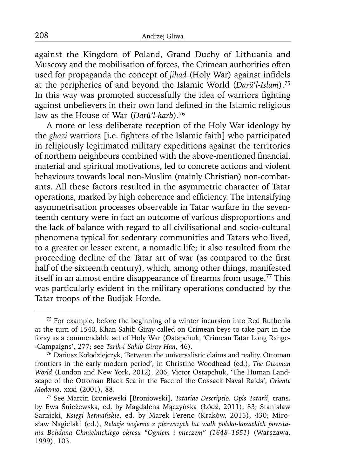against the Kingdom of Poland, Grand Duchy of Lithuania and Muscovy and the mobilisation of forces, the Crimean authorities often used for propaganda the concept of *jihad* (Holy War) against infidels at the peripheries of and beyond the Islamic World (*Darü'l-Islam*).75 In this way was promoted successfully the idea of warriors fighting against unbelievers in their own land defined in the Islamic religious law as the House of War (*Darü'l-harb*).76

A more or less deliberate reception of the Holy War ideology by the *ghazi* warriors *[i.e. fighters of the Islamic faith]* who participated in religiously legitimated military expeditions against the territories of northern neighbours combined with the above-mentioned financial, material and spiritual motivations, led to concrete actions and violent behaviours towards local non-Muslim (mainly Christian) non-combatants. All these factors resulted in the asymmetric character of Tatar operations, marked by high coherence and efficiency. The intensifying asymmetrisation processes observable in Tatar warfare in the seventeenth century were in fact an outcome of various disproportions and the lack of balance with regard to all civilisational and socio-cultural phenomena typical for sedentary communities and Tatars who lived, to a greater or lesser extent, a nomadic life; it also resulted from the proceeding decline of the Tatar art of war (as compared to the first half of the sixteenth century), which, among other things, manifested itself in an almost entire disappearance of firearms from usage.<sup>77</sup> This was particularly evident in the military operations conducted by the Tatar troops of the Budjak Horde.

<sup>75</sup> For example, before the beginning of a winter incursion into Red Ruthenia at the turn of 1540, Khan Sahib Giray called on Crimean beys to take part in the foray as a commendable act of Holy War (Ostapchuk, 'Crimean Tatar Long Range- -Campaigns', 277; see *Tarih-i Sahib Giray Han*, 46).

<sup>76</sup> Dariusz Kołodziejczyk, 'Between the universalistic claims and reality. Ottoman frontiers in the early modern period', in Christine Woodhead (ed.), *The Ottoman World* (London and New York, 2012), 206; Victor Ostapchuk, 'The Human Landscape of the Ottoman Black Sea in the Face of the Cossack Naval Raids', *Oriente Moderno*, xxxi (2001), 88.

<sup>77</sup> See Marcin Broniewski [Broniowski], *Tatariae Descriptio. Opis Tatarii*, trans. by Ewa Śnieżewska, ed. by Magdalena Mączyńska (Łódź, 2011), 83; Stanisław Sarnicki, *Księgi hetmańskie*, ed. by Marek Ferenc (Kraków, 2015), 430; Mirosław Nagielski (ed.), *Relacje wojenne z pierwszych lat walk polsko-kozackich powstania Bohdana Chmielnickiego okresu "Ogniem i mieczem" (1648–1651)* (Warszawa, 1999), 103.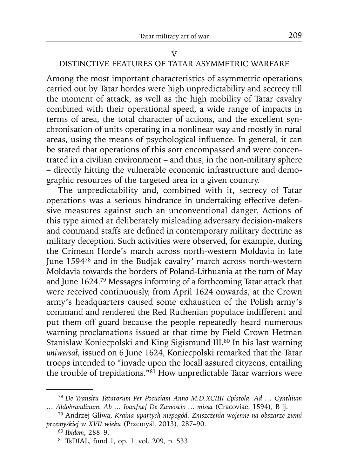# DISTINCTIVE FEATURES OF TATAR ASYMMETRIC WARFARE

Among the most important characteristics of asymmetric operations carried out by Tatar hordes were high unpredictability and secrecy till the moment of attack, as well as the high mobility of Tatar cavalry combined with their operational speed, a wide range of impacts in terms of area, the total character of actions, and the excellent synchronisation of units operating in a nonlinear way and mostly in rural areas, using the means of psychological influence. In general, it can be stated that operations of this sort encompassed and were concentrated in a civilian environment – and thus, in the non-military sphere – directly hitting the vulnerable economic infrastructure and demographic resources of the targeted area in a given country.

The unpredictability and, combined with it, secrecy of Tatar operations was a serious hindrance in undertaking effective defensive measures against such an unconventional danger. Actions of this type aimed at deliberately misleading adversary decision-makers and command staffs are defined in contemporary military doctrine as military deception. Such activities were observed, for example, during the Crimean Horde's march across north-western Moldavia in late June 159478 and in the Budjak cavalry' march across north-western Moldavia towards the borders of Poland-Lithuania at the turn of May and June 1624.79 Messages informing of a forthcoming Tatar attack that were received continuously, from April 1624 onwards, at the Crown army's headquarters caused some exhaustion of the Polish army's command and rendered the Red Ruthenian populace indifferent and put them off guard because the people repeatedly heard numerous warning proclamations issued at that time by Field Crown Hetman Stanisław Koniecpolski and King Sigismund III.<sup>80</sup> In his last warning *uniwersał*, issued on 6 June 1624, Koniecpolski remarked that the Tatar troops intended to "invade upon the locall assured cityzens, entailing the trouble of trepidations*.*"81 How unpredictable Tatar warriors were

<sup>78</sup>*De Transitu Tatarorum Per Pocuciam Anno M.D.XCIIII Epistola. Ad … Cynthium … Aldobrandinum. Ab … Ioan[ne] De Zamoscio … missa* (Cracoviae, 1594), B ij.

<sup>79</sup> Andrzej Gliwa, *Kraina upartych niepogód. Zniszczenia wojenne na obszarze ziemi przemyskiej w XVII wieku* (Przemyśl, 2013), 287–90.

<sup>80</sup>*Ibidem*, 288–9.

<sup>81</sup> TsDIAL, fund 1, op. 1, vol. 209, p. 533.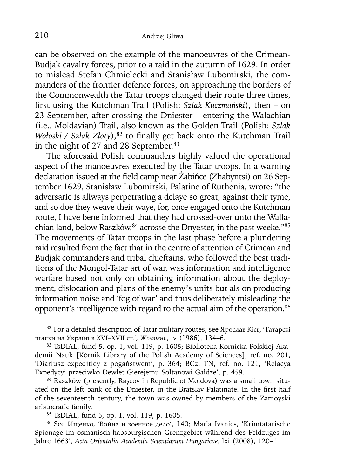can be observed on the example of the manoeuvres of the Crimean-Budjak cavalry forces, prior to a raid in the autumn of 1629. In order to mislead Stefan Chmielecki and Stanisław Lubomirski, the commanders of the frontier defence forces, on approaching the borders of the Commonwealth the Tatar troops changed their route three times, first using the Kutchman Trail (Polish: *Szlak Kuczmański*), then – on 23 September, after crossing the Dniester – entering the Walachian (i.e., Moldavian) Trail, also known as the Golden Trail (Polish: *Szlak Wołoski / Szlak Złoty*),<sup>82</sup> to finally get back onto the Kutchman Trail in the night of 27 and 28 September.<sup>83</sup>

The aforesaid Polish commanders highly valued the operational aspect of the manoeuvres executed by the Tatar troops. In a warning declaration issued at the field camp near Żabińce (Zhabyntsi) on 26 September 1629, Stanisław Lubomirski, Palatine of Ruthenia, wrote: "the adversarie is allways perpetrating a delaye so great, against their tyme, and so doe they weave their waye, for, once engaged onto the Kutchman route, I have bene informed that they had crossed-over unto the Wallachian land, below Raszków, 84 acrosse the Dnyester, in the past weeke."85 The movements of Tatar troops in the last phase before a plundering raid resulted from the fact that in the centre of attention of Crimean and Budjak commanders and tribal chieftains, who followed the best traditions of the Mongol-Tatar art of war, was information and intelligence warfare based not only on obtaining information about the deployment, dislocation and plans of the enemy's units but als on producing information noise and 'fog of war' and thus deliberately misleading the opponent's intelligence with regard to the actual aim of the operation.<sup>86</sup>

84 Raszków (presently, Rașcov in Republic of Moldova) was a small town situated on the left bank of the Dniester, in the Bratslav Palatinate. In the first half of the seventeenth century, the town was owned by members of the Zamoyski aristocratic family.

85 TsDIAL, fund 5, op. 1, vol. 119, p. 1605.

86 See Ищенко, 'Война и военное дело', 140; Maria Ivanics, 'Krimtatarische Spionage im osmanisch-habsburgischen Grenzgebiet während des Feldzuges im Jahre 1663', *Acta Orientalia Academia Scientiarum Hungaricae*, lxi (2008), 120–1.

<sup>&</sup>lt;sup>82</sup> For a detailed description of Tatar military routes, see Ярослав Кісь, 'Татарскі шляхи на Україні в XVI–XVII ст.', *Жовтень*, iv (1986), 134–6.

<sup>83</sup> TsDIAL, fund 5, op. 1, vol. 119, p. 1605; Biblioteka Kórnicka Polskiej Akademii Nauk [Kórnik Library of the Polish Academy of Sciences], ref. no. 201, 'Diariusz expeditiey z pogaństwem', p. 364; BCz, TN, ref. no. 121, 'Relacya Expedycyi przeciwko Dewlet Gierejemu Sołtanowi Gałdze', p. 459.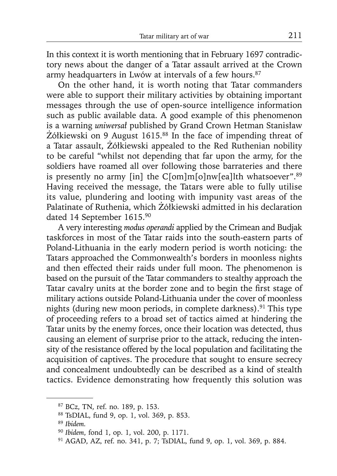In this context it is worth mentioning that in February 1697 contradictory news about the danger of a Tatar assault arrived at the Crown army headquarters in Lwów at intervals of a few hours.<sup>87</sup>

On the other hand, it is worth noting that Tatar commanders were able to support their military activities by obtaining important messages through the use of open-source intelligence information such as public available data. A good example of this phenomenon is a warning *uniwersał* published by Grand Crown Hetman Stanisław Żółkiewski on 9 August 1615.88 In the face of impending threat of a Tatar assault, Żółkiewski appealed to the Red Ruthenian nobility to be careful "whilst not depending that far upon the army, for the soldiers have roamed all over following those barrateries and there is presently no army [in] the C[om]m[o]nw[ea]lth whatsoever".<sup>89</sup> Having received the message, the Tatars were able to fully utilise its value, plundering and looting with impunity vast areas of the Palatinate of Ruthenia, which Żółkiewski admitted in his declaration dated 14 September 1615.90

A very interesting *modus operandi* applied by the Crimean and Budjak taskforces in most of the Tatar raids into the south-eastern parts of Poland-Lithuania in the early modern period is worth noticing: the Tatars approached the Commonwealth's borders in moonless nights and then effected their raids under full moon. The phenomenon is based on the pursuit of the Tatar commanders to stealthy approach the Tatar cavalry units at the border zone and to begin the first stage of military actions outside Poland-Lithuania under the cover of moonless nights (during new moon periods, in complete darkness).91 This type of proceeding refers to a broad set of tactics aimed at hindering the Tatar units by the enemy forces, once their location was detected, thus causing an element of surprise prior to the attack, reducing the intensity of the resistance offered by the local population and facilitating the acquisition of captives. The procedure that sought to ensure secrecy and concealment undoubtedly can be described as a kind of stealth tactics. Evidence demonstrating how frequently this solution was

<sup>87</sup> BCz, TN, ref. no. 189, p. 153.

<sup>88</sup> TsDIAL, fund 9, op. 1, vol. 369, p. 853.

<sup>89</sup>*Ibidem.*

<sup>90</sup>*Ibidem*, fond 1, op. 1, vol. 200, p. 1171.

<sup>91</sup> AGAD, AZ, ref. no. 341, p. 7; TsDIAL, fund 9, op. 1, vol. 369, p. 884.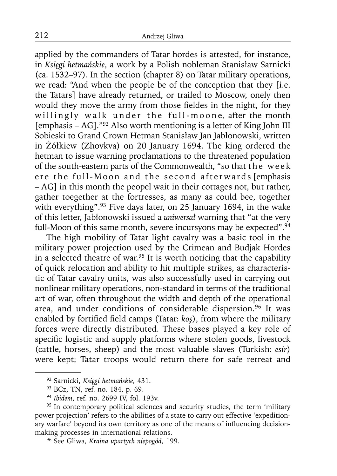applied by the commanders of Tatar hordes is attested, for instance, in *Księgi hetmańskie*, a work by a Polish nobleman Stanisław Sarnicki (ca. 1532–97). In the section (chapter 8) on Tatar military operations, we read: "And when the people be of the conception that they [i.e. the Tatars] have already returned, or trailed to Moscow, onely then would they move the army from those fieldes in the night, for they willingly walk under the full-moone, after the month [emphasis – AG]."92 Also worth mentioning is a letter of King John III Sobieski to Grand Crown Hetman Stanisław Jan Jabłonowski, written in Żółkiew (Zhovkva) on 20 January 1694. The king ordered the hetman to issue warning proclamations to the threatened population of the south-eastern parts of the Commonwealth, "so that the week ere the full-Moon and the second afterwards [emphasis – AG] in this month the peopel wait in their cottages not, but rather, gather toegether at the fortresses, as many as could bee, together with everything".<sup>93</sup> Five days later, on 25 January 1694, in the wake of this letter, Jabłonowski issued a *uniwersał* warning that "at the very full-Moon of this same month, severe incursyons may be expected".<sup>94</sup>

The high mobility of Tatar light cavalry was a basic tool in the military power projection used by the Crimean and Budjak Hordes in a selected theatre of war.95 It is worth noticing that the capability of quick relocation and ability to hit multiple strikes, as characteristic of Tatar cavalry units, was also successfully used in carrying out nonlinear military operations, non-standard in terms of the traditional art of war, often throughout the width and depth of the operational area, and under conditions of considerable dispersion.<sup>96</sup> It was enabled by fortified field camps (Tatar: *ko*<sup>5</sup>), from where the military forces were directly distributed. These bases played a key role of specific logistic and supply platforms where stolen goods, livestock (cattle, horses, sheep) and the most valuable slaves (Turkish: *esir*) were kept; Tatar troops would return there for safe retreat and

<sup>92</sup> Sarnicki, *Księgi hetmańskie*, 431.

<sup>93</sup> BCz, TN, ref. no. 184, p. 69.

<sup>94</sup>*Ibidem*, ref. no. 2699 IV, fol. 193v.

<sup>&</sup>lt;sup>95</sup> In contemporary political sciences and security studies, the term 'military power projection' refers to the abilities of a state to carry out effective 'expeditionary warfare' beyond its own territory as one of the means of influencing decisionmaking processes in international relations.

<sup>96</sup> See Gliwa, *Kraina upartych niepogód*, 199.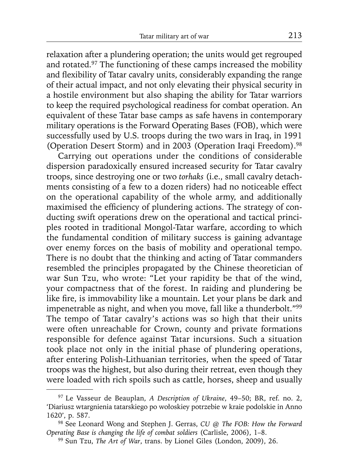relaxation after a plundering operation; the units would get regrouped and rotated.97 The functioning of these camps increased the mobility and flexibility of Tatar cavalry units, considerably expanding the range of their actual impact, and not only elevating their physical security in a hostile environment but also shaping the ability for Tatar warriors to keep the required psychological readiness for combat operation. An equivalent of these Tatar base camps as safe havens in contemporary military operations is the Forward Operating Bases (FOB), which were successfully used by U.S. troops during the two wars in Iraq, in 1991 (Operation Desert Storm) and in 2003 (Operation Iraqi Freedom).98

Carrying out operations under the conditions of considerable dispersion paradoxically ensured increased security for Tatar cavalry troops, since destroying one or two *torhaks* (i.e., small cavalry detachments consisting of a few to a dozen riders) had no noticeable effect on the operational capability of the whole army, and additionally maximised the efficiency of plundering actions. The strategy of conducting swift operations drew on the operational and tactical principles rooted in traditional Mongol-Tatar warfare, according to which the fundamental condition of military success is gaining advantage over enemy forces on the basis of mobility and operational tempo. There is no doubt that the thinking and acting of Tatar commanders resembled the principles propagated by the Chinese theoretician of war Sun Tzu, who wrote: "Let your rapidity be that of the wind, your compactness that of the forest. In raiding and plundering be like fire, is immovability like a mountain. Let your plans be dark and impenetrable as night, and when you move, fall like a thunderbolt."99 The tempo of Tatar cavalry's actions was so high that their units were often unreachable for Crown, county and private formations responsible for defence against Tatar incursions. Such a situation took place not only in the initial phase of plundering operations, after entering Polish-Lithuanian territories, when the speed of Tatar troops was the highest, but also during their retreat, even though they were loaded with rich spoils such as cattle, horses, sheep and usually

<sup>97</sup> Le Vasseur de Beauplan, *A Description of Ukraine*, 49–50; BR, ref. no. 2, 'Diariusz wtargnienia tatarskiego po wołoskiey potrzebie w kraie podolskie in Anno 1620', p. 587.

<sup>98</sup> See Leonard Wong and Stephen J. Gerras, *CU @ The FOB: How the Forward Operating Base is changing the life of combat soldiers* (Carlisle, 2006), 1–8.

<sup>99</sup> Sun Tzu, *The Art of War*, trans. by Lionel Giles (London, 2009), 26.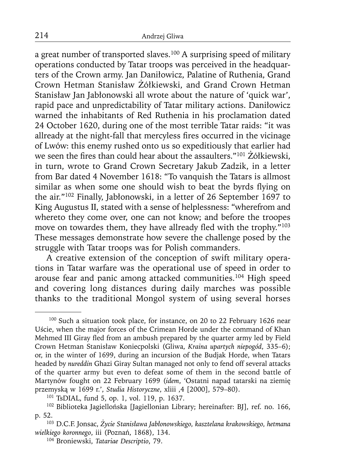a great number of transported slaves.100 A surprising speed of military operations conducted by Tatar troops was perceived in the headquarters of the Crown army. Jan Daniłowicz, Palatine of Ruthenia, Grand Crown Hetman Stanisław Żółkiewski, and Grand Crown Hetman Stanisław Jan Jabłonowski all wrote about the nature of 'quick war', rapid pace and unpredictability of Tatar military actions. Daniłowicz warned the inhabitants of Red Ruthenia in his proclamation dated 24 October 1620, during one of the most terrible Tatar raids: "it was allready at the night-fall that mercyless fires occurred in the vicinage of Lwów: this enemy rushed onto us so expeditiously that earlier had we seen the fires than could hear about the assaulters."<sup>101</sup> Żółkiewski, in turn, wrote to Grand Crown Secretary Jakub Zadzik, in a letter from Bar dated 4 November 1618: "To vanquish the Tatars is allmost similar as when some one should wish to beat the byrds flying on the air."102 Finally, Jabłonowski, in a letter of 26 September 1697 to King Augustus II, stated with a sense of helplessness: "wherefrom and whereto they come over, one can not know; and before the troopes move on towardes them, they have allready fled with the trophy."<sup>103</sup> These messages demonstrate how severe the challenge posed by the struggle with Tatar troops was for Polish commanders.

A creative extension of the conception of swift military operations in Tatar warfare was the operational use of speed in order to arouse fear and panic among attacked communities.104 High speed and covering long distances during daily marches was possible thanks to the traditional Mongol system of using several horses

<sup>100</sup> Such a situation took place, for instance, on 20 to 22 February 1626 near Uście, when the major forces of the Crimean Horde under the command of Khan Mehmed III Giray fled from an ambush prepared by the quarter army led by Field Crown Hetman Stanisław Koniecpolski (Gliwa, *Kraina upartych niepogód*, 335–6); or, in the winter of 1699, during an incursion of the Budjak Horde, when Tatars headed by *nureddin* Ghazi Giray Sultan managed not only to fend off several attacks of the quarter army but even to defeat some of them in the second battle of Martynów fought on 22 February 1699 (*idem*, 'Ostatni napad tatarski na ziemię przemyską w 1699 r.', *Studia Historyczne*, xliii ,4 [2000], 579–80).

<sup>101</sup> TsDIAL, fund 5, op. 1, vol. 119, p. 1637.

<sup>102</sup> Biblioteka Jagiellońska [Jagiellonian Library; hereinafter: BJ], ref. no. 166, p. 52.

<sup>103</sup> D.C.F. Jonsac, *Życie Stanisława Jabłonowskiego, kasztelana krakowskiego, hetmana wielkiego koronnego*, iii (Poznań, 1868), 134.

<sup>104</sup> Broniewski, *Tatariae Descriptio*, 79.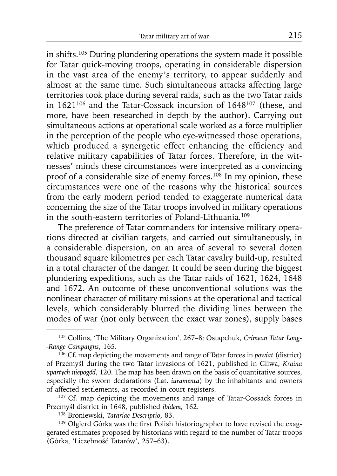in shifts.105 During plundering operations the system made it possible for Tatar quick-moving troops, operating in considerable dispersion in the vast area of the enemy's territory, to appear suddenly and almost at the same time. Such simultaneous attacks affecting large territories took place during several raids, such as the two Tatar raids in 1621106 and the Tatar-Cossack incursion of 1648107 (these, and more, have been researched in depth by the author). Carrying out simultaneous actions at operational scale worked as a force multiplier in the perception of the people who eye-witnessed those operations, which produced a synergetic effect enhancing the efficiency and relative military capabilities of Tatar forces. Therefore, in the witnesses' minds these circumstances were interpreted as a convincing proof of a considerable size of enemy forces.<sup>108</sup> In my opinion, these circumstances were one of the reasons why the historical sources from the early modern period tended to exaggerate numerical data concerning the size of the Tatar troops involved in military operations in the south-eastern territories of Poland-Lithuania.109

The preference of Tatar commanders for intensive military operations directed at civilian targets, and carried out simultaneously, in a considerable dispersion, on an area of several to several dozen thousand square kilometres per each Tatar cavalry build-up, resulted in a total character of the danger. It could be seen during the biggest plundering expeditions, such as the Tatar raids of 1621, 1624, 1648 and 1672. An outcome of these unconventional solutions was the nonlinear character of military missions at the operational and tactical levels, which considerably blurred the dividing lines between the modes of war (not only between the exact war zones), supply bases

<sup>105</sup> Collins, 'The Military Organization', 267–8; Ostapchuk, *Crimean Tatar Long- -Range Campaigns*, 165.

<sup>106</sup> Cf. map depicting the movements and range of Tatar forces in *powiat* (district) of Przemyśl during the two Tatar invasions of 1621, published in Gliwa, *Kraina upartych niepogód*, 120. The map has been drawn on the basis of quantitative sources, especially the sworn declarations (Lat. *iuramenta*) by the inhabitants and owners of affected settlements, as recorded in court registers.

<sup>&</sup>lt;sup>107</sup> Cf. map depicting the movements and range of Tatar-Cossack forces in Przemyśl district in 1648, published *ibidem*, 162.

<sup>108</sup> Broniewski, *Tatariae Descriptio*, 83.

<sup>&</sup>lt;sup>109</sup> Olgierd Górka was the first Polish historiographer to have revised the exaggerated estimates proposed by historians with regard to the number of Tatar troops (Górka, 'Liczebność Tatarów', 257–63).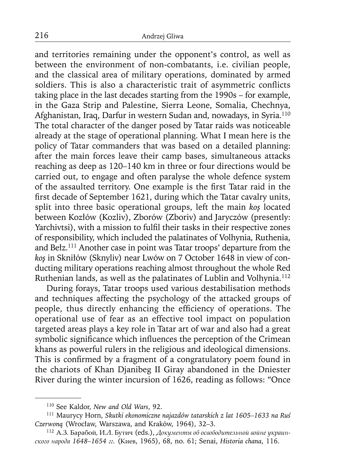and territories remaining under the opponent's control, as well as between the environment of non-combatants, i.e. civilian people, and the classical area of military operations, dominated by armed soldiers. This is also a characteristic trait of asymmetric conflicts taking place in the last decades starting from the 1990s – for example, in the Gaza Strip and Palestine, Sierra Leone, Somalia, Chechnya, Afghanistan, Iraq, Darfur in western Sudan and, nowadays, in Syria.110 The total character of the danger posed by Tatar raids was noticeable already at the stage of operational planning. What I mean here is the policy of Tatar commanders that was based on a detailed planning: after the main forces leave their camp bases, simultaneous attacks reaching as deep as 120–140 km in three or four directions would be carried out, to engage and often paralyse the whole defence system of the assaulted territory. One example is the first Tatar raid in the first decade of September 1621, during which the Tatar cavalry units, split into three basic operational groups, left the main *koş* located between Kozłów (Kozliv), Zborów (Zboriv) and Jaryczów (presently: Yarchivtsi), with a mission to fulfil their tasks in their respective zones of responsibility, which included the palatinates of Volhynia, Ruthenia, and Bełz.111 Another case in point was Tatar troops' departure from the *koş* in Skniłów (Sknyliv) near Lwów on 7 October 1648 in view of conducting military operations reaching almost throughout the whole Red Ruthenian lands, as well as the palatinates of Lublin and Volhynia.112

During forays, Tatar troops used various destabilisation methods and techniques affecting the psychology of the attacked groups of people, thus directly enhancing the efficiency of operations. The operational use of fear as an effective tool impact on population targeted areas plays a key role in Tatar art of war and also had a great symbolic significance which influences the perception of the Crimean khans as powerful rulers in the religious and ideological dimensions. This is confirmed by a fragment of a congratulatory poem found in the chariots of Khan Djanibeg II Giray abandoned in the Dniester River during the winter incursion of 1626, reading as follows: "Once

<sup>110</sup> See Kaldor, *New and Old Wars*, 92.

<sup>111</sup> Maurycy Horn, *Skutki ekonomiczne najazdów tatarskich z lat 1605–1633 na Ruś Czerwoną* (Wrocław, Warszawa, and Kraków, 1964), 32–3.

<sup>112</sup>А.З. Барабой, И.Л. Бутич (eds.), *Документы об освободительной войне украинского народа 1648–1654 гг.* (Киев, 1965), 68, no. 61; Senai, *Historia chana*, 116.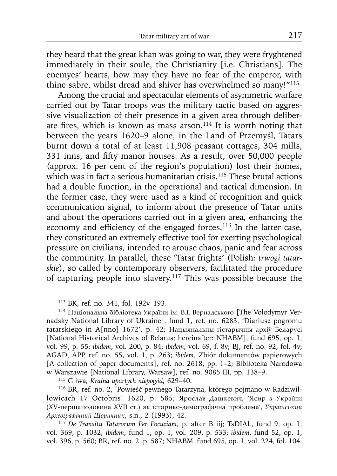they heard that the great khan was going to war, they were fryghtened immediately in their soule, the Christianity [i.e. Christians]. The enemyes' hearts, how may they have no fear of the emperor, with thine sabre, whilst dread and shiver has overwhelmed so many!"<sup>113</sup>

Among the crucial and spectacular elements of asymmetric warfare carried out by Tatar troops was the military tactic based on aggressive visualization of their presence in a given area through deliberate fires, which is known as mass arson.<sup>114</sup> It is worth noting that between the years 1620–9 alone, in the Land of Przemyśl, Tatars burnt down a total of at least 11,908 peasant cottages, 304 mills,  $331$  inns, and fifty manor houses. As a result, over  $50,000$  people (approx. 16 per cent of the region's population) lost their homes, which was in fact a serious humanitarian crisis.<sup>115</sup> These brutal actions had a double function, in the operational and tactical dimension. In the former case, they were used as a kind of recognition and quick communication signal, to inform about the presence of Tatar units and about the operations carried out in a given area, enhancing the economy and efficiency of the engaged forces.<sup>116</sup> In the latter case, they constituted an extremely effective tool for exerting psychological pressure on civilians, intended to arouse chaos, panic and fear across the community. In parallel, these 'Tatar frights' (Polish: *trwogi tatarskie*), so called by contemporary observers, facilitated the procedure of capturing people into slavery.117 This was possible because the

<sup>113</sup> BK, ref. no. 341, fol. 192v–193.

<sup>114</sup> Національна бібліотека України ім. В.І. Вернадського [The Volodymyr Vernadsky National Library of Ukraine], fund 1, ref. no. 6283, 'Diariusz pogromu tatarskiego in A[nno] 1672', p. 42; Нацыянальны гістарычны архіў Беларусі [National Historical Archives of Belarus; hereinafter: NHABM], fund 695, op. 1, vol. 99, p. 55; *ibidem*, vol. 200, p. 84; *ibidem*, vol. 69, f. 8v; BJ, ref. no. 92, fol. 4v; AGAD, APP, ref. no. 55, vol. 1, p. 263; *ibidem*, Zbiór dokumentów papierowych [A collection of paper documents], ref. no. 2618, pp. 1–2; Biblioteka Narodowa w Warszawie [National Library, Warsaw], ref. no. 9085 III, pp. 138–9.

<sup>115</sup> Gliwa, *Kraina upartych niepogód*, 629–40.

<sup>116</sup> BR, ref. no. 2, 'Powieść pewnego Tatarzyna, którego pojmano w Radziwiłłowicach 17 Octobris' 1620, p. 585; Ярослав Дашкевич, 'Ясир з України (XV-першаполовина XVII ст.) як історико-демографічна проблема', *Українcький Археографічний Щоричник*, s.n., 2 (1993), 42.

<sup>117</sup>*De Transitu Tatarorum Per Pocuciam*, p. after B iij; TsDIAL, fund 9, op. 1, vol. 369, p. 1032; *ibidem*, fund 1, op. 1, vol. 209, p. 533; *ibidem*, fund 52, op. 1, vol. 396, p. 560; BR, ref. no. 2, p. 587; NHABM, fund 695, op. 1, vol. 224, fol. 104.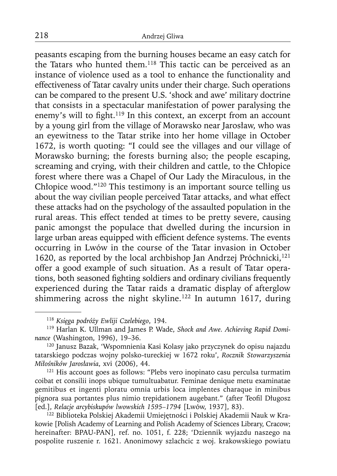peasants escaping from the burning houses became an easy catch for the Tatars who hunted them.118 This tactic can be perceived as an instance of violence used as a tool to enhance the functionality and effectiveness of Tatar cavalry units under their charge. Such operations can be compared to the present U.S. 'shock and awe' military doctrine that consists in a spectacular manifestation of power paralysing the enemy's will to fight.<sup>119</sup> In this context, an excerpt from an account by a young girl from the village of Morawsko near Jarosław, who was an eyewitness to the Tatar strike into her home village in October 1672, is worth quoting: "I could see the villages and our village of Morawsko burning; the forests burning also; the people escaping, screaming and crying, with their children and cattle, to the Chłopice forest where there was a Chapel of Our Lady the Miraculous, in the Chłopice wood."120 This testimony is an important source telling us about the way civilian people perceived Tatar attacks, and what effect these attacks had on the psychology of the assaulted population in the rural areas. This effect tended at times to be pretty severe, causing panic amongst the populace that dwelled during the incursion in large urban areas equipped with efficient defence systems. The events occurring in Lwów in the course of the Tatar invasion in October 1620, as reported by the local archbishop Jan Andrzej Próchnicki,<sup>121</sup> offer a good example of such situation. As a result of Tatar operations, both seasoned fighting soldiers and ordinary civilians frequently experienced during the Tatar raids a dramatic display of afterglow shimmering across the night skyline.<sup>122</sup> In autumn 1617, during

<sup>121</sup> His account goes as follows: "Plebs vero inopinato casu perculsa turmatim coibat et consilii inops ubique tumultuabatur. Feminae denique metu examinatae gemitibus et ingenti ploratu omnia urbis loca implentes charaque in minibus pignora sua portantes plus nimio trepidationem augebant." (after Teofil Długosz [ed.], *Relacje arcybiskupów lwowskich 1595–1794* [Lwów, 1937], 83).

122 Biblioteka Polskiej Akademii Umiejętności i Polskiej Akademii Nauk w Krakowie [Polish Academy of Learning and Polish Academy of Sciences Library, Cracow; hereinafter: BPAU-PAN], ref. no. 1051, f. 228; 'Dziennik wyjazdu naszego na pospolite ruszenie r. 1621. Anonimowy szlachcic z woj. krakowskiego powiatu

<sup>118</sup>*Księga podróży Ewliji Czelebiego*, 194.

<sup>119</sup> Harlan K. Ullman and James P. Wade, *Shock and Awe. Achieving Rapid Dominance* (Washington, 1996), 19–36.

<sup>120</sup> Janusz Bazak, 'Wspomnienia Kasi Kolasy jako przyczynek do opisu najazdu tatarskiego podczas wojny polsko-tureckiej w 1672 roku', *Rocznik Stowarzyszenia Miłośników Jarosławia*, xvi (2006), 44.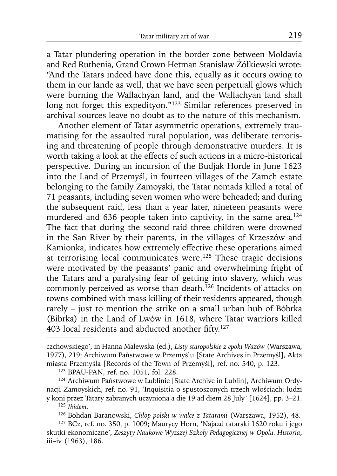a Tatar plundering operation in the border zone between Moldavia and Red Ruthenia, Grand Crown Hetman Stanisław Żółkiewski wrote: "And the Tatars indeed have done this, equally as it occurs owing to them in our lande as well, that we have seen perpetuall glows which were burning the Wallachyan land, and the Wallachyan land shall long not forget this expedityon."123 Similar references preserved in archival sources leave no doubt as to the nature of this mechanism.

Another element of Tatar asymmetric operations, extremely traumatising for the assaulted rural population, was deliberate terrorising and threatening of people through demonstrative murders. It is worth taking a look at the effects of such actions in a micro-historical perspective. During an incursion of the Budjak Horde in June 1623 into the Land of Przemyśl, in fourteen villages of the Zamch estate belonging to the family Zamoyski, the Tatar nomads killed a total of 71 peasants, including seven women who were beheaded; and during the subsequent raid, less than a year later, nineteen peasants were murdered and 636 people taken into captivity, in the same area.<sup>124</sup> The fact that during the second raid three children were drowned in the San River by their parents, in the villages of Krzeszów and Kamionka, indicates how extremely effective these operations aimed at terrorising local communicates were.125 These tragic decisions were motivated by the peasants' panic and overwhelming fright of the Tatars and a paralysing fear of getting into slavery, which was commonly perceived as worse than death.<sup>126</sup> Incidents of attacks on towns combined with mass killing of their residents appeared, though rarely – just to mention the strike on a small urban hub of Bóbrka (Bibrka) in the Land of Lwów in 1618, where Tatar warriors killed 403 local residents and abducted another fifty. $127$ 

czchowskiego', in Hanna Malewska (ed.), *Listy staropolskie z epoki Wazów* (Warszawa, 1977), 219; Archiwum Państwowe w Przemyślu [State Archives in Przemyśl], Akta miasta Przemyśla [Records of the Town of Przemyśl], ref. no. 540, p. 123.

<sup>123</sup> BPAU-PAN, ref. no. 1051, fol. 228.

<sup>124</sup> Archiwum Państwowe w Lublinie [State Archive in Lublin], Archiwum Ordynacji Zamoyskich, ref. no. 91, 'Inquisitia o spustoszonych trzech włościach: ludzi y koni przez Tatary zabranych uczyniona a die 19 ad diem 28 July' [1624], pp. 3–21.

<sup>125</sup>*Ibidem.*

<sup>126</sup> Bohdan Baranowski, *Chłop polski w walce z Tatarami* (Warszawa, 1952), 48.

<sup>127</sup> BCz, ref. no. 350, p. 1009; Maurycy Horn, 'Najazd tatarski 1620 roku i jego skutki ekonomiczne', *Zeszyty Naukowe Wyższej Szkoły Pedagogicznej w Opolu. Historia*, iii–iv (1963), 186.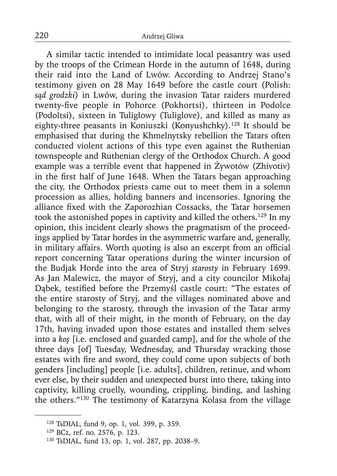A similar tactic intended to intimidate local peasantry was used by the troops of the Crimean Horde in the autumn of 1648, during their raid into the Land of Lwów. According to Andrzej Stano's testimony given on 28 May 1649 before the castle court (Polish: *sąd grodzki*) in Lwów, during the invasion Tatar raiders murdered twenty-five people in Pohorce (Pokhortsi), thirteen in Podolce (Podoltsi), sixteen in Tuligłowy (Tuliglove), and killed as many as eighty-three peasants in Koniuszki (Konyushchky).<sup>128</sup> It should be emphasised that during the Khmelnytsky rebellion the Tatars often conducted violent actions of this type even against the Ruthenian townspeople and Ruthenian clergy of the Orthodox Church. A good example was a terrible event that happened in Żywotów (Zhivotiv) in the first half of June 1648. When the Tatars began approaching the city, the Orthodox priests came out to meet them in a solemn procession as allies, holding banners and incensories. Ignoring the alliance fixed with the Zaporozhian Cossacks, the Tatar horsemen took the astonished popes in captivity and killed the others.129 In my opinion, this incident clearly shows the pragmatism of the proceedings applied by Tatar hordes in the asymmetric warfare and, generally, in military affairs. Worth quoting is also an excerpt from an official report concerning Tatar operations during the winter incursion of the Budjak Horde into the area of Stryj *starosty* in February 1699. As Jan Malewicz, the mayor of Stryj, and a city councilor Mikołaj Dabek, testified before the Przemyśl castle court: "The estates of the entire starosty of Stryj, and the villages nominated above and belonging to the starosty, through the invasion of the Tatar army that, with all of their might, in the month of February, on the day 17th, having invaded upon those estates and installed them selves into a *koş* [i.e. enclosed and guarded camp], and for the whole of the three days [of] Tuesday, Wednesday, and Thursday wracking those estates with fire and sword, they could come upon subjects of both genders [including] people [i.e. adults], children, retinue, and whom ever else, by their sudden and unexpected burst into there, taking into captivity, killing cruelly, wounding, crippling, binding, and lashing the others."130 The testimony of Katarzyna Kolasa from the village

<sup>128</sup> TsDIAL, fund 9, op. 1, vol. 399, p. 359.

<sup>129</sup> BCz, ref. no. 2576, p. 123.

<sup>130</sup> TsDIAL, fund 13, op. 1, vol. 287, pp. 2038–9.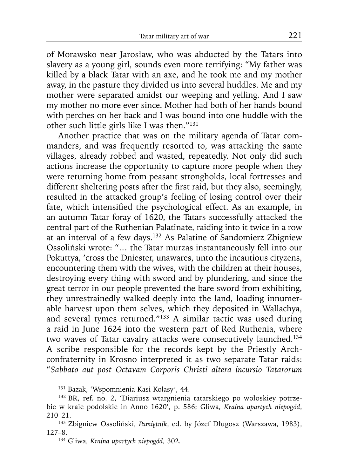of Morawsko near Jarosław, who was abducted by the Tatars into slavery as a young girl, sounds even more terrifying: "My father was killed by a black Tatar with an axe, and he took me and my mother away, in the pasture they divided us into several huddles. Me and my mother were separated amidst our weeping and yelling. And I saw my mother no more ever since. Mother had both of her hands bound with perches on her back and I was bound into one huddle with the other such little girls like I was then."131

Another practice that was on the military agenda of Tatar commanders, and was frequently resorted to, was attacking the same villages, already robbed and wasted, repeatedly. Not only did such actions increase the opportunity to capture more people when they were returning home from peasant strongholds, local fortresses and different sheltering posts after the first raid, but they also, seemingly, resulted in the attacked group's feeling of losing control over their fate, which intensified the psychological effect. As an example, in an autumn Tatar foray of 1620, the Tatars successfully attacked the central part of the Ruthenian Palatinate, raiding into it twice in a row at an interval of a few days.132 As Palatine of Sandomierz Zbigniew Ossoliński wrote: "… the Tatar murzas instantaneously fell into our Pokuttya, 'cross the Dniester, unawares, unto the incautious cityzens, encountering them with the wives, with the children at their houses, destroying every thing with sword and by plundering, and since the great terror in our people prevented the bare sword from exhibiting, they unrestrainedly walked deeply into the land, loading innumerable harvest upon them selves, which they deposited in Wallachya, and several tymes returned*.*"133 A similar tactic was used during a raid in June 1624 into the western part of Red Ruthenia, where two waves of Tatar cavalry attacks were consecutively launched.134 A scribe responsible for the records kept by the Priestly Archconfraternity in Krosno interpreted it as two separate Tatar raids: "*Sabbato aut post Octavam Corporis Christi altera incursio Tatarorum* 

134 Gliwa, *Kraina upartych niepogód*, 302.

<sup>131</sup> Bazak, 'Wspomnienia Kasi Kolasy', 44.

<sup>132</sup> BR, ref. no. 2, 'Diariusz wtargnienia tatarskiego po wołoskiey potrzebie w kraie podolskie in Anno 1620', p. 586; Gliwa, *Kraina upartych niepogód*, 210–21.

<sup>133</sup> Zbigniew Ossoliński, *Pamiętnik*, ed. by Józef Długosz (Warszawa, 1983), 127–8.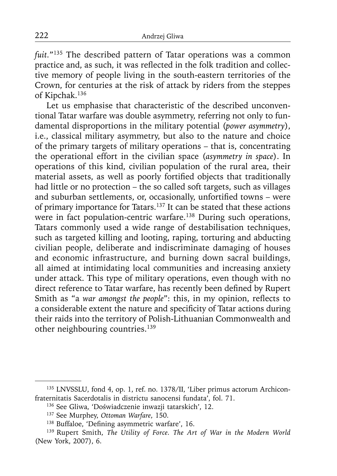*fuit.*"135 The described pattern of Tatar operations was a common practice and, as such, it was reflected in the folk tradition and collective memory of people living in the south-eastern territories of the Crown, for centuries at the risk of attack by riders from the steppes of Kipchak.136

Let us emphasise that characteristic of the described unconventional Tatar warfare was double asymmetry, referring not only to fundamental disproportions in the military potential (*power asymmetry*), i.e., classical military asymmetry, but also to the nature and choice of the primary targets of military operations – that is, concentrating the operational effort in the civilian space (*asymmetry in space*). In operations of this kind, civilian population of the rural area, their material assets, as well as poorly fortified objects that traditionally had little or no protection – the so called soft targets, such as villages and suburban settlements, or, occasionally, unfortified towns - were of primary importance for Tatars.137 It can be stated that these actions were in fact population-centric warfare.<sup>138</sup> During such operations, Tatars commonly used a wide range of destabilisation techniques, such as targeted killing and looting, raping, torturing and abducting civilian people, deliberate and indiscriminate damaging of houses and economic infrastructure, and burning down sacral buildings, all aimed at intimidating local communities and increasing anxiety under attack. This type of military operations, even though with no direct reference to Tatar warfare, has recently been defined by Rupert Smith as "a war amongst the people": this, in my opinion, reflects to a considerable extent the nature and specificity of Tatar actions during their raids into the territory of Polish-Lithuanian Commonwealth and other neighbouring countries.139

<sup>135</sup> LNVSSLU, fond 4, op. 1, ref. no. 1378/II, 'Liber primus actorum Archiconfraternitatis Sacerdotalis in districtu sanocensi fundata', fol. 71.

<sup>136</sup> See Gliwa, 'Doświadczenie inwazji tatarskich', 12.

<sup>137</sup> See Murphey, *Ottoman Warfare*, 150.

<sup>&</sup>lt;sup>138</sup> Buffaloe, 'Defining asymmetric warfare', 16.

<sup>139</sup> Rupert Smith, *The Utility of Force. The Art of War in the Modern World* (New York, 2007), 6.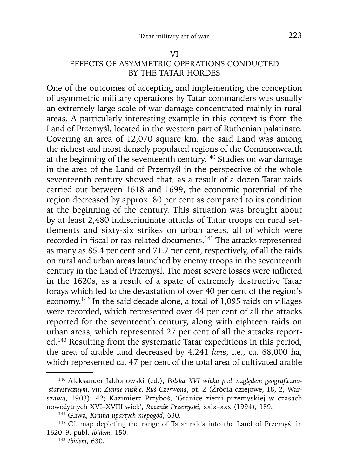#### VI EFFECTS OF ASYMMETRIC OPERATIONS CONDUCTED BY THE TATAR HORDES

One of the outcomes of accepting and implementing the conception of asymmetric military operations by Tatar commanders was usually an extremely large scale of war damage concentrated mainly in rural areas. A particularly interesting example in this context is from the Land of Przemyśl, located in the western part of Ruthenian palatinate. Covering an area of 12,070 square km, the said Land was among the richest and most densely populated regions of the Commonwealth at the beginning of the seventeenth century.140 Studies on war damage in the area of the Land of Przemyśl in the perspective of the whole seventeenth century showed that, as a result of a dozen Tatar raids carried out between 1618 and 1699, the economic potential of the region decreased by approx. 80 per cent as compared to its condition at the beginning of the century. This situation was brought about by at least 2,480 indiscriminate attacks of Tatar troops on rural settlements and sixty-six strikes on urban areas, all of which were recorded in fiscal or tax-related documents.<sup>141</sup> The attacks represented as many as 85.4 per cent and 71.7 per cent, respectively, of all the raids on rural and urban areas launched by enemy troops in the seventeenth century in the Land of Przemyśl. The most severe losses were inflicted in the 1620s, as a result of a spate of extremely destructive Tatar forays which led to the devastation of over 40 per cent of the region's economy.142 In the said decade alone, a total of 1,095 raids on villages were recorded, which represented over 44 per cent of all the attacks reported for the seventeenth century, along with eighteen raids on urban areas, which represented 27 per cent of all the attacks reported.143 Resulting from the systematic Tatar expeditions in this period, the area of arable land decreased by 4,241 *łan*s, i.e., ca. 68,000 ha, which represented ca. 47 per cent of the total area of cultivated arable

<sup>&</sup>lt;sup>140</sup> Aleksander Jabłonowski (ed.), Polska XVI wieku pod względem geograficzno-*-statystycznym*, vii: *Ziemie ruskie. Ruś Czerwona*, pt. 2 (Źródła dziejowe, 18, 2, Warszawa, 1903), 42; Kazimierz Przyboś, 'Granice ziemi przemyskiej w czasach nowożytnych XVI–XVIII wiek', *Rocznik Przemyski*, xxix–xxx (1994), 189.

<sup>141</sup> Gliwa, *Kraina upartych niepogód*, 630.

<sup>&</sup>lt;sup>142</sup> Cf. map depicting the range of Tatar raids into the Land of Przemyśl in 1620–9, publ. *ibidem*, 150.

<sup>143</sup>*Ibidem*, 630.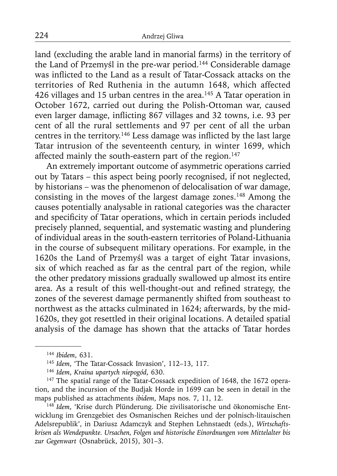land (excluding the arable land in manorial farms) in the territory of the Land of Przemyśl in the pre-war period.<sup>144</sup> Considerable damage was inflicted to the Land as a result of Tatar-Cossack attacks on the territories of Red Ruthenia in the autumn 1648, which affected 426 villages and 15 urban centres in the area.<sup>145</sup> A Tatar operation in October 1672, carried out during the Polish-Ottoman war, caused even larger damage, inflicting 867 villages and 32 towns, i.e. 93 per cent of all the rural settlements and 97 per cent of all the urban centres in the territory.<sup>146</sup> Less damage was inflicted by the last large Tatar intrusion of the seventeenth century, in winter 1699, which affected mainly the south-eastern part of the region.<sup>147</sup>

An extremely important outcome of asymmetric operations carried out by Tatars – this aspect being poorly recognised, if not neglected, by historians – was the phenomenon of delocalisation of war damage, consisting in the moves of the largest damage zones.<sup>148</sup> Among the causes potentially analysable in rational categories was the character and specificity of Tatar operations, which in certain periods included precisely planned, sequential, and systematic wasting and plundering of individual areas in the south-eastern territories of Poland-Lithuania in the course of subsequent military operations. For example, in the 1620s the Land of Przemyśl was a target of eight Tatar invasions, six of which reached as far as the central part of the region, while the other predatory missions gradually swallowed up almost its entire area. As a result of this well-thought-out and refined strategy, the zones of the severest damage permanently shifted from southeast to northwest as the attacks culminated in 1624; afterwards, by the mid-1620s, they got resettled in their original locations. A detailed spatial analysis of the damage has shown that the attacks of Tatar hordes

<sup>144</sup>*Ibidem*, 631.

<sup>145</sup>*Idem*, 'The Tatar-Cossack Invasion', 112–13, 117.

<sup>146</sup>*Idem*, *Kraina upartych niepogód*, 630.

<sup>&</sup>lt;sup>147</sup> The spatial range of the Tatar-Cossack expedition of 1648, the 1672 operation, and the incursion of the Budjak Horde in 1699 can be seen in detail in the maps published as attachments *ibidem*, Maps nos. 7, 11, 12.

<sup>148</sup> *Idem*, 'Krise durch Plünderung. Die zivilisatorische und ökonomische Entwicklung im Grenzgebiet des Osmanischen Reiches und der polnisch-litauischen Adelsrepublik', in Dariusz Adamczyk and Stephen Lehnstaedt (eds.), *Wirtschaftskrisen als Wendepunkte. Ursachen, Folgen und historische Einordnungen vom Mittelalter bis zur Gegenwart* (Osnabrück, 2015), 301–3.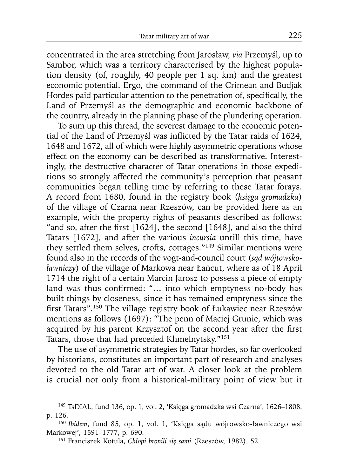concentrated in the area stretching from Jarosław, *via* Przemyśl, up to Sambor, which was a territory characterised by the highest population density (of, roughly, 40 people per 1 sq. km) and the greatest economic potential. Ergo, the command of the Crimean and Budjak Hordes paid particular attention to the penetration of, specifically, the Land of Przemyśl as the demographic and economic backbone of the country, already in the planning phase of the plundering operation.

To sum up this thread, the severest damage to the economic potential of the Land of Przemyśl was inflicted by the Tatar raids of 1624, 1648 and 1672, all of which were highly asymmetric operations whose effect on the economy can be described as transformative. Interestingly, the destructive character of Tatar operations in those expeditions so strongly affected the community's perception that peasant communities began telling time by referring to these Tatar forays. A record from 1680, found in the registry book (*księga gromadzka*) of the village of Czarna near Rzeszów, can be provided here as an example, with the property rights of peasants described as follows: "and so, after the first  $[1624]$ , the second  $[1648]$ , and also the third Tatars [1672], and after the various *incursia* untill this time, have they settled them selves, crofts, cottages."149 Similar mentions were found also in the records of the vogt-and-council court (*sąd wójtowskoławniczy*) of the village of Markowa near Łańcut, where as of 18 April 1714 the right of a certain Marcin Jarosz to possess a piece of empty land was thus confirmed: "... into which emptyness no-body has built things by closeness, since it has remained emptyness since the first Tatars".<sup>150</sup> The village registry book of Łukawiec near Rzeszów mentions as follows (1697): "The penn of Maciej Grunie, which was acquired by his parent Krzysztof on the second year after the first Tatars, those that had preceded Khmelnytsky."151

The use of asymmetric strategies by Tatar hordes, so far overlooked by historians, constitutes an important part of research and analyses devoted to the old Tatar art of war. A closer look at the problem is crucial not only from a historical-military point of view but it

<sup>149</sup> TsDIAL, fund 136, op. 1, vol. 2, 'Księga gromadzka wsi Czarna', 1626–1808, p. 126.

<sup>150</sup>*Ibidem*, fund 85, op. 1, vol. 1, 'Księga sądu wójtowsko-ławniczego wsi Markowej', 1591–1777, p. 690.

<sup>151</sup> Franciszek Kotula, *Chłopi bronili się sami* (Rzeszów, 1982), 52.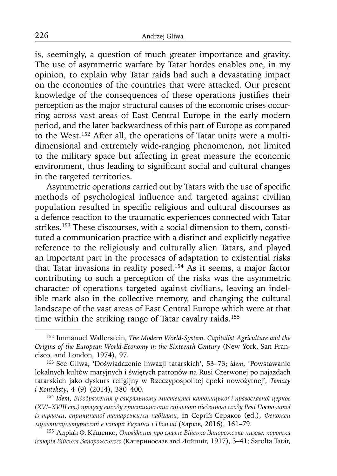is, seemingly, a question of much greater importance and gravity. The use of asymmetric warfare by Tatar hordes enables one, in my opinion, to explain why Tatar raids had such a devastating impact on the economies of the countries that were attacked. Our present knowledge of the consequences of these operations justifies their perception as the major structural causes of the economic crises occurring across vast areas of East Central Europe in the early modern period, and the later backwardness of this part of Europe as compared to the West.152 After all, the operations of Tatar units were a multidimensional and extremely wide-ranging phenomenon, not limited to the military space but affecting in great measure the economic environment, thus leading to significant social and cultural changes in the targeted territories.

Asymmetric operations carried out by Tatars with the use of specific methods of psychological influence and targeted against civilian population resulted in specific religious and cultural discourses as a defence reaction to the traumatic experiences connected with Tatar strikes.<sup>153</sup> These discourses, with a social dimension to them, constituted a communication practice with a distinct and explicitly negative reference to the religiously and culturally alien Tatars, and played an important part in the processes of adaptation to existential risks that Tatar invasions in reality posed.154 As it seems, a major factor contributing to such a perception of the risks was the asymmetric character of operations targeted against civilians, leaving an indelible mark also in the collective memory, and changing the cultural landscape of the vast areas of East Central Europe which were at that time within the striking range of Tatar cavalry raids.<sup>155</sup>

<sup>152</sup> Immanuel Wallerstein, *The Modern World-System. Capitalist Agriculture and the Origins of the European World-Economy in the Sixteenth Century* (New York, San Francisco, and London, 1974), 97.

<sup>153</sup> See Gliwa, 'Doświadczenie inwazji tatarskich', 53–73; *idem*, 'Powstawanie lokalnych kultów maryjnych i świętych patronów na Rusi Czerwonej po najazdach tatarskich jako dyskurs religijny w Rzeczypospolitej epoki nowożytnej', *Tematy i Konteksty*, 4 (9) (2014), 380–400.

<sup>154</sup>*Idem*, *Відображення у сакральному мистецтві католицької і православної церков (XVI–XVIII cт.) процесу виходу християнських спільнот південного сходу Речі Посполитої із травми*, *спричиненої татарськими набігами*, in Сергій Сєряков (ed.), *Феномен мультикультурності в історії України і Польщі* (Харків, 2016), 161–79.

<sup>155</sup>Адріа́н Ф. Кащенко ́ , *Оповідання про славне Військо Запорожське низове: коротка історія Війська Запорожського* (Катеринослав and Ляйпціг, 1917), 3–41; Sarolta Tatár,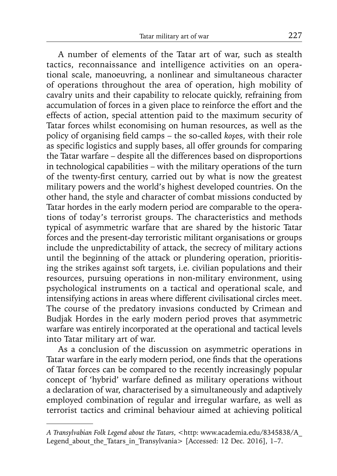A number of elements of the Tatar art of war, such as stealth tactics, reconnaissance and intelligence activities on an operational scale, manoeuvring, a nonlinear and simultaneous character of operations throughout the area of operation, high mobility of cavalry units and their capability to relocate quickly, refraining from accumulation of forces in a given place to reinforce the effort and the effects of action, special attention paid to the maximum security of Tatar forces whilst economising on human resources, as well as the policy of organising field camps – the so-called *koşes*, with their role as specific logistics and supply bases, all offer grounds for comparing the Tatar warfare – despite all the differences based on disproportions in technological capabilities – with the military operations of the turn of the twenty-first century, carried out by what is now the greatest military powers and the world's highest developed countries. On the other hand, the style and character of combat missions conducted by Tatar hordes in the early modern period are comparable to the operations of today's terrorist groups. The characteristics and methods typical of asymmetric warfare that are shared by the historic Tatar forces and the present-day terroristic militant organisations or groups include the unpredictability of attack, the secrecy of military actions until the beginning of the attack or plundering operation, prioritising the strikes against soft targets, i.e. civilian populations and their resources, pursuing operations in non-military environment, using psychological instruments on a tactical and operational scale, and intensifying actions in areas where different civilisational circles meet. The course of the predatory invasions conducted by Crimean and Budjak Hordes in the early modern period proves that asymmetric warfare was entirely incorporated at the operational and tactical levels into Tatar military art of war.

As a conclusion of the discussion on asymmetric operations in Tatar warfare in the early modern period, one finds that the operations of Tatar forces can be compared to the recently increasingly popular concept of 'hybrid' warfare defined as military operations without a declaration of war, characterised by a simultaneously and adaptively employed combination of regular and irregular warfare, as well as terrorist tactics and criminal behaviour aimed at achieving political

A Transylvabian Folk Legend about the Tatars, <http: www.academia.edu/8345838/A Legend about the Tatars in Transylvania> [Accessed: 12 Dec. 2016], 1–7.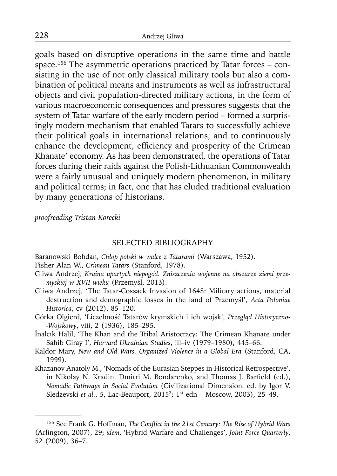goals based on disruptive operations in the same time and battle space.<sup>156</sup> The asymmetric operations practiced by Tatar forces – consisting in the use of not only classical military tools but also a combination of political means and instruments as well as infrastructural objects and civil population-directed military actions, in the form of various macroeconomic consequences and pressures suggests that the system of Tatar warfare of the early modern period – formed a surprisingly modern mechanism that enabled Tatars to successfully achieve their political goals in international relations, and to continuously enhance the development, efficiency and prosperity of the Crimean Khanate' economy. As has been demonstrated, the operations of Tatar forces during their raids against the Polish-Lithuanian Commonwealth were a fairly unusual and uniquely modern phenomenon, in military and political terms; in fact, one that has eluded traditional evaluation by many generations of historians.

*proofreading Tristan Korecki* 

### SELECTED BIBLIOGRAPHY

Baranowski Bohdan, *Chłop polski w walce z Tatarami* (Warszawa, 1952).

Fisher Alan W., *Crimean Tatars* (Stanford, 1978).

- Gliwa Andrzej, *Kraina upartych niepogód. Zniszczenia wojenne na obszarze ziemi przemyskiej w XVII wieku* (Przemyśl, 2013).
- Gliwa Andrzej, 'The Tatar-Cossack Invasion of 1648: Military actions, material destruction and demographic losses in the land of Przemyśl', *Acta Poloniae Historica*, cv (2012), 85–120.
- Górka Olgierd, 'Liczebność Tatarów krymskich i ich wojsk', *Przegląd Historyczno- -Wojskowy*, viii, 2 (1936), 185–295.
- İnalcık Halil, 'The Khan and the Tribal Aristocracy: The Crimean Khanate under Sahib Giray I', *Harvard Ukrainian Studies*, iii–iv (1979–1980), 445–66.
- Kaldor Mary, *New and Old Wars. Organized Violence in a Global Era* (Stanford, CA, 1999).
- Khazanov Anatoly M., 'Nomads of the Eurasian Steppes in Historical Retrospective', in Nikolay N. Kradin, Dmitri M. Bondarenko, and Thomas J. Barfield (ed.), *Nomadic Pathways in Social Evolution* (Civilizational Dimension, ed. by Igor V. Sledzevski *et al.*, 5, Lac-Beauport, 20152; 1st edn – Moscow, 2003), 25–49.

<sup>&</sup>lt;sup>156</sup> See Frank G. Hoffman, *The Conflict in the 21st Century: The Rise of Hybrid Wars* (Arlington, 2007), 29; *idem*, 'Hybrid Warfare and Challenges', *Joint Force Quarterly*, 52 (2009), 36–7.